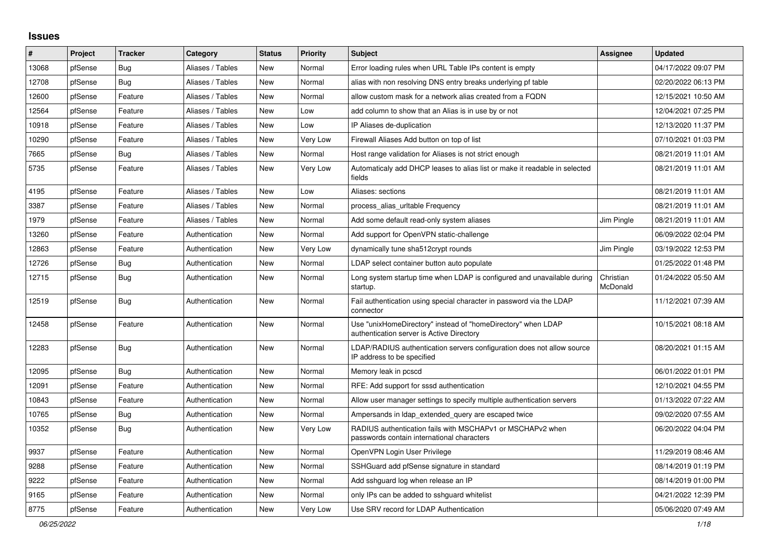## **Issues**

| #     | Project | <b>Tracker</b> | Category         | <b>Status</b> | <b>Priority</b> | <b>Subject</b>                                                                                            | Assignee              | <b>Updated</b>      |
|-------|---------|----------------|------------------|---------------|-----------------|-----------------------------------------------------------------------------------------------------------|-----------------------|---------------------|
| 13068 | pfSense | Bug            | Aliases / Tables | New           | Normal          | Error loading rules when URL Table IPs content is empty                                                   |                       | 04/17/2022 09:07 PM |
| 12708 | pfSense | Bug            | Aliases / Tables | New           | Normal          | alias with non resolving DNS entry breaks underlying pf table                                             |                       | 02/20/2022 06:13 PM |
| 12600 | pfSense | Feature        | Aliases / Tables | New           | Normal          | allow custom mask for a network alias created from a FQDN                                                 |                       | 12/15/2021 10:50 AM |
| 12564 | pfSense | Feature        | Aliases / Tables | New           | Low             | add column to show that an Alias is in use by or not                                                      |                       | 12/04/2021 07:25 PM |
| 10918 | pfSense | Feature        | Aliases / Tables | New           | Low             | IP Aliases de-duplication                                                                                 |                       | 12/13/2020 11:37 PM |
| 10290 | pfSense | Feature        | Aliases / Tables | New           | Very Low        | Firewall Aliases Add button on top of list                                                                |                       | 07/10/2021 01:03 PM |
| 7665  | pfSense | <b>Bug</b>     | Aliases / Tables | <b>New</b>    | Normal          | Host range validation for Aliases is not strict enough                                                    |                       | 08/21/2019 11:01 AM |
| 5735  | pfSense | Feature        | Aliases / Tables | New           | Very Low        | Automaticaly add DHCP leases to alias list or make it readable in selected<br>fields                      |                       | 08/21/2019 11:01 AM |
| 4195  | pfSense | Feature        | Aliases / Tables | <b>New</b>    | Low             | Aliases: sections                                                                                         |                       | 08/21/2019 11:01 AM |
| 3387  | pfSense | Feature        | Aliases / Tables | <b>New</b>    | Normal          | process_alias_urItable Frequency                                                                          |                       | 08/21/2019 11:01 AM |
| 1979  | pfSense | Feature        | Aliases / Tables | New           | Normal          | Add some default read-only system aliases                                                                 | Jim Pingle            | 08/21/2019 11:01 AM |
| 13260 | pfSense | Feature        | Authentication   | New           | Normal          | Add support for OpenVPN static-challenge                                                                  |                       | 06/09/2022 02:04 PM |
| 12863 | pfSense | Feature        | Authentication   | New           | Very Low        | dynamically tune sha512crypt rounds                                                                       | Jim Pingle            | 03/19/2022 12:53 PM |
| 12726 | pfSense | Bug            | Authentication   | <b>New</b>    | Normal          | LDAP select container button auto populate                                                                |                       | 01/25/2022 01:48 PM |
| 12715 | pfSense | <b>Bug</b>     | Authentication   | New           | Normal          | Long system startup time when LDAP is configured and unavailable during<br>startup.                       | Christian<br>McDonald | 01/24/2022 05:50 AM |
| 12519 | pfSense | <b>Bug</b>     | Authentication   | New           | Normal          | Fail authentication using special character in password via the LDAP<br>connector                         |                       | 11/12/2021 07:39 AM |
| 12458 | pfSense | Feature        | Authentication   | <b>New</b>    | Normal          | Use "unixHomeDirectory" instead of "homeDirectory" when LDAP<br>authentication server is Active Directory |                       | 10/15/2021 08:18 AM |
| 12283 | pfSense | <b>Bug</b>     | Authentication   | <b>New</b>    | Normal          | LDAP/RADIUS authentication servers configuration does not allow source<br>IP address to be specified      |                       | 08/20/2021 01:15 AM |
| 12095 | pfSense | Bug            | Authentication   | <b>New</b>    | Normal          | Memory leak in pcscd                                                                                      |                       | 06/01/2022 01:01 PM |
| 12091 | pfSense | Feature        | Authentication   | <b>New</b>    | Normal          | RFE: Add support for sssd authentication                                                                  |                       | 12/10/2021 04:55 PM |
| 10843 | pfSense | Feature        | Authentication   | New           | Normal          | Allow user manager settings to specify multiple authentication servers                                    |                       | 01/13/2022 07:22 AM |
| 10765 | pfSense | Bug            | Authentication   | New           | Normal          | Ampersands in Idap extended query are escaped twice                                                       |                       | 09/02/2020 07:55 AM |
| 10352 | pfSense | Bug            | Authentication   | New           | Very Low        | RADIUS authentication fails with MSCHAPv1 or MSCHAPv2 when<br>passwords contain international characters  |                       | 06/20/2022 04:04 PM |
| 9937  | pfSense | Feature        | Authentication   | New           | Normal          | OpenVPN Login User Privilege                                                                              |                       | 11/29/2019 08:46 AM |
| 9288  | pfSense | Feature        | Authentication   | New           | Normal          | SSHGuard add pfSense signature in standard                                                                |                       | 08/14/2019 01:19 PM |
| 9222  | pfSense | Feature        | Authentication   | New           | Normal          | Add sshguard log when release an IP                                                                       |                       | 08/14/2019 01:00 PM |
| 9165  | pfSense | Feature        | Authentication   | New           | Normal          | only IPs can be added to sshguard whitelist                                                               |                       | 04/21/2022 12:39 PM |
| 8775  | pfSense | Feature        | Authentication   | New           | Very Low        | Use SRV record for LDAP Authentication                                                                    |                       | 05/06/2020 07:49 AM |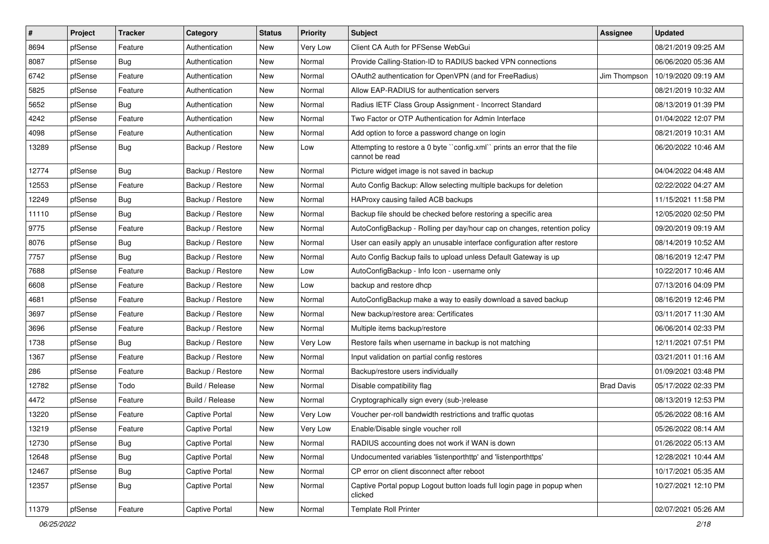| $\vert$ # | Project | <b>Tracker</b> | Category              | <b>Status</b> | <b>Priority</b> | <b>Subject</b>                                                                              | <b>Assignee</b>   | <b>Updated</b>      |
|-----------|---------|----------------|-----------------------|---------------|-----------------|---------------------------------------------------------------------------------------------|-------------------|---------------------|
| 8694      | pfSense | Feature        | Authentication        | New           | Very Low        | Client CA Auth for PFSense WebGui                                                           |                   | 08/21/2019 09:25 AM |
| 8087      | pfSense | Bug            | Authentication        | New           | Normal          | Provide Calling-Station-ID to RADIUS backed VPN connections                                 |                   | 06/06/2020 05:36 AM |
| 6742      | pfSense | Feature        | Authentication        | New           | Normal          | OAuth2 authentication for OpenVPN (and for FreeRadius)                                      | Jim Thompson      | 10/19/2020 09:19 AM |
| 5825      | pfSense | Feature        | Authentication        | New           | Normal          | Allow EAP-RADIUS for authentication servers                                                 |                   | 08/21/2019 10:32 AM |
| 5652      | pfSense | Bug            | Authentication        | New           | Normal          | Radius IETF Class Group Assignment - Incorrect Standard                                     |                   | 08/13/2019 01:39 PM |
| 4242      | pfSense | Feature        | Authentication        | New           | Normal          | Two Factor or OTP Authentication for Admin Interface                                        |                   | 01/04/2022 12:07 PM |
| 4098      | pfSense | Feature        | Authentication        | New           | Normal          | Add option to force a password change on login                                              |                   | 08/21/2019 10:31 AM |
| 13289     | pfSense | Bug            | Backup / Restore      | New           | Low             | Attempting to restore a 0 byte "config.xml" prints an error that the file<br>cannot be read |                   | 06/20/2022 10:46 AM |
| 12774     | pfSense | Bug            | Backup / Restore      | <b>New</b>    | Normal          | Picture widget image is not saved in backup                                                 |                   | 04/04/2022 04:48 AM |
| 12553     | pfSense | Feature        | Backup / Restore      | New           | Normal          | Auto Config Backup: Allow selecting multiple backups for deletion                           |                   | 02/22/2022 04:27 AM |
| 12249     | pfSense | Bug            | Backup / Restore      | New           | Normal          | HAProxy causing failed ACB backups                                                          |                   | 11/15/2021 11:58 PM |
| 11110     | pfSense | Bug            | Backup / Restore      | <b>New</b>    | Normal          | Backup file should be checked before restoring a specific area                              |                   | 12/05/2020 02:50 PM |
| 9775      | pfSense | Feature        | Backup / Restore      | New           | Normal          | AutoConfigBackup - Rolling per day/hour cap on changes, retention policy                    |                   | 09/20/2019 09:19 AM |
| 8076      | pfSense | Bug            | Backup / Restore      | New           | Normal          | User can easily apply an unusable interface configuration after restore                     |                   | 08/14/2019 10:52 AM |
| 7757      | pfSense | Bug            | Backup / Restore      | <b>New</b>    | Normal          | Auto Config Backup fails to upload unless Default Gateway is up                             |                   | 08/16/2019 12:47 PM |
| 7688      | pfSense | Feature        | Backup / Restore      | New           | Low             | AutoConfigBackup - Info Icon - username only                                                |                   | 10/22/2017 10:46 AM |
| 6608      | pfSense | Feature        | Backup / Restore      | <b>New</b>    | Low             | backup and restore dhcp                                                                     |                   | 07/13/2016 04:09 PM |
| 4681      | pfSense | Feature        | Backup / Restore      | New           | Normal          | AutoConfigBackup make a way to easily download a saved backup                               |                   | 08/16/2019 12:46 PM |
| 3697      | pfSense | Feature        | Backup / Restore      | New           | Normal          | New backup/restore area: Certificates                                                       |                   | 03/11/2017 11:30 AM |
| 3696      | pfSense | Feature        | Backup / Restore      | <b>New</b>    | Normal          | Multiple items backup/restore                                                               |                   | 06/06/2014 02:33 PM |
| 1738      | pfSense | Bug            | Backup / Restore      | New           | Very Low        | Restore fails when username in backup is not matching                                       |                   | 12/11/2021 07:51 PM |
| 1367      | pfSense | Feature        | Backup / Restore      | New           | Normal          | Input validation on partial config restores                                                 |                   | 03/21/2011 01:16 AM |
| 286       | pfSense | Feature        | Backup / Restore      | New           | Normal          | Backup/restore users individually                                                           |                   | 01/09/2021 03:48 PM |
| 12782     | pfSense | Todo           | Build / Release       | New           | Normal          | Disable compatibility flag                                                                  | <b>Brad Davis</b> | 05/17/2022 02:33 PM |
| 4472      | pfSense | Feature        | Build / Release       | New           | Normal          | Cryptographically sign every (sub-)release                                                  |                   | 08/13/2019 12:53 PM |
| 13220     | pfSense | Feature        | Captive Portal        | New           | Very Low        | Voucher per-roll bandwidth restrictions and traffic quotas                                  |                   | 05/26/2022 08:16 AM |
| 13219     | pfSense | Feature        | Captive Portal        | New           | Very Low        | Enable/Disable single voucher roll                                                          |                   | 05/26/2022 08:14 AM |
| 12730     | pfSense | Bug            | Captive Portal        | New           | Normal          | RADIUS accounting does not work if WAN is down                                              |                   | 01/26/2022 05:13 AM |
| 12648     | pfSense | <b>Bug</b>     | Captive Portal        | New           | Normal          | Undocumented variables 'listenporthttp' and 'listenporthttps'                               |                   | 12/28/2021 10:44 AM |
| 12467     | pfSense | <b>Bug</b>     | Captive Portal        | New           | Normal          | CP error on client disconnect after reboot                                                  |                   | 10/17/2021 05:35 AM |
| 12357     | pfSense | <b>Bug</b>     | Captive Portal        | New           | Normal          | Captive Portal popup Logout button loads full login page in popup when<br>clicked           |                   | 10/27/2021 12:10 PM |
| 11379     | pfSense | Feature        | <b>Captive Portal</b> | New           | Normal          | <b>Template Roll Printer</b>                                                                |                   | 02/07/2021 05:26 AM |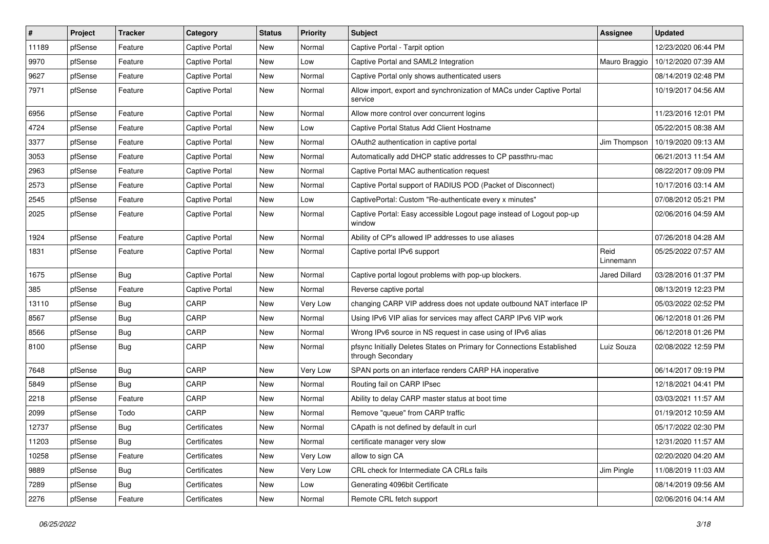| #     | Project | <b>Tracker</b> | Category              | <b>Status</b> | <b>Priority</b> | Subject                                                                                     | Assignee             | <b>Updated</b>      |
|-------|---------|----------------|-----------------------|---------------|-----------------|---------------------------------------------------------------------------------------------|----------------------|---------------------|
| 11189 | pfSense | Feature        | <b>Captive Portal</b> | New           | Normal          | Captive Portal - Tarpit option                                                              |                      | 12/23/2020 06:44 PM |
| 9970  | pfSense | Feature        | <b>Captive Portal</b> | <b>New</b>    | Low             | Captive Portal and SAML2 Integration                                                        | Mauro Braggio        | 10/12/2020 07:39 AM |
| 9627  | pfSense | Feature        | <b>Captive Portal</b> | New           | Normal          | Captive Portal only shows authenticated users                                               |                      | 08/14/2019 02:48 PM |
| 7971  | pfSense | Feature        | <b>Captive Portal</b> | New           | Normal          | Allow import, export and synchronization of MACs under Captive Portal<br>service            |                      | 10/19/2017 04:56 AM |
| 6956  | pfSense | Feature        | Captive Portal        | <b>New</b>    | Normal          | Allow more control over concurrent logins                                                   |                      | 11/23/2016 12:01 PM |
| 4724  | pfSense | Feature        | <b>Captive Portal</b> | <b>New</b>    | Low             | Captive Portal Status Add Client Hostname                                                   |                      | 05/22/2015 08:38 AM |
| 3377  | pfSense | Feature        | <b>Captive Portal</b> | New           | Normal          | OAuth2 authentication in captive portal                                                     | Jim Thompson         | 10/19/2020 09:13 AM |
| 3053  | pfSense | Feature        | <b>Captive Portal</b> | New           | Normal          | Automatically add DHCP static addresses to CP passthru-mac                                  |                      | 06/21/2013 11:54 AM |
| 2963  | pfSense | Feature        | Captive Portal        | New           | Normal          | Captive Portal MAC authentication request                                                   |                      | 08/22/2017 09:09 PM |
| 2573  | pfSense | Feature        | <b>Captive Portal</b> | New           | Normal          | Captive Portal support of RADIUS POD (Packet of Disconnect)                                 |                      | 10/17/2016 03:14 AM |
| 2545  | pfSense | Feature        | <b>Captive Portal</b> | New           | Low             | CaptivePortal: Custom "Re-authenticate every x minutes"                                     |                      | 07/08/2012 05:21 PM |
| 2025  | pfSense | Feature        | <b>Captive Portal</b> | <b>New</b>    | Normal          | Captive Portal: Easy accessible Logout page instead of Logout pop-up<br>window              |                      | 02/06/2016 04:59 AM |
| 1924  | pfSense | Feature        | <b>Captive Portal</b> | <b>New</b>    | Normal          | Ability of CP's allowed IP addresses to use aliases                                         |                      | 07/26/2018 04:28 AM |
| 1831  | pfSense | Feature        | <b>Captive Portal</b> | New           | Normal          | Captive portal IPv6 support                                                                 | Reid<br>Linnemann    | 05/25/2022 07:57 AM |
| 1675  | pfSense | Bug            | <b>Captive Portal</b> | New           | Normal          | Captive portal logout problems with pop-up blockers.                                        | <b>Jared Dillard</b> | 03/28/2016 01:37 PM |
| 385   | pfSense | Feature        | <b>Captive Portal</b> | New           | Normal          | Reverse captive portal                                                                      |                      | 08/13/2019 12:23 PM |
| 13110 | pfSense | Bug            | CARP                  | New           | Very Low        | changing CARP VIP address does not update outbound NAT interface IP                         |                      | 05/03/2022 02:52 PM |
| 8567  | pfSense | Bug            | CARP                  | New           | Normal          | Using IPv6 VIP alias for services may affect CARP IPv6 VIP work                             |                      | 06/12/2018 01:26 PM |
| 8566  | pfSense | Bug            | CARP                  | New           | Normal          | Wrong IPv6 source in NS request in case using of IPv6 alias                                 |                      | 06/12/2018 01:26 PM |
| 8100  | pfSense | Bug            | CARP                  | New           | Normal          | pfsync Initially Deletes States on Primary for Connections Established<br>through Secondary | Luiz Souza           | 02/08/2022 12:59 PM |
| 7648  | pfSense | <b>Bug</b>     | CARP                  | New           | Very Low        | SPAN ports on an interface renders CARP HA inoperative                                      |                      | 06/14/2017 09:19 PM |
| 5849  | pfSense | <b>Bug</b>     | CARP                  | New           | Normal          | Routing fail on CARP IPsec                                                                  |                      | 12/18/2021 04:41 PM |
| 2218  | pfSense | Feature        | CARP                  | New           | Normal          | Ability to delay CARP master status at boot time                                            |                      | 03/03/2021 11:57 AM |
| 2099  | pfSense | Todo           | CARP                  | New           | Normal          | Remove "queue" from CARP traffic                                                            |                      | 01/19/2012 10:59 AM |
| 12737 | pfSense | Bug            | Certificates          | New           | Normal          | CApath is not defined by default in curl                                                    |                      | 05/17/2022 02:30 PM |
| 11203 | pfSense | <b>Bug</b>     | Certificates          | New           | Normal          | certificate manager very slow                                                               |                      | 12/31/2020 11:57 AM |
| 10258 | pfSense | Feature        | Certificates          | New           | Very Low        | allow to sign CA                                                                            |                      | 02/20/2020 04:20 AM |
| 9889  | pfSense | Bug            | Certificates          | New           | Very Low        | CRL check for Intermediate CA CRLs fails                                                    | Jim Pingle           | 11/08/2019 11:03 AM |
| 7289  | pfSense | <b>Bug</b>     | Certificates          | New           | Low             | Generating 4096bit Certificate                                                              |                      | 08/14/2019 09:56 AM |
| 2276  | pfSense | Feature        | Certificates          | New           | Normal          | Remote CRL fetch support                                                                    |                      | 02/06/2016 04:14 AM |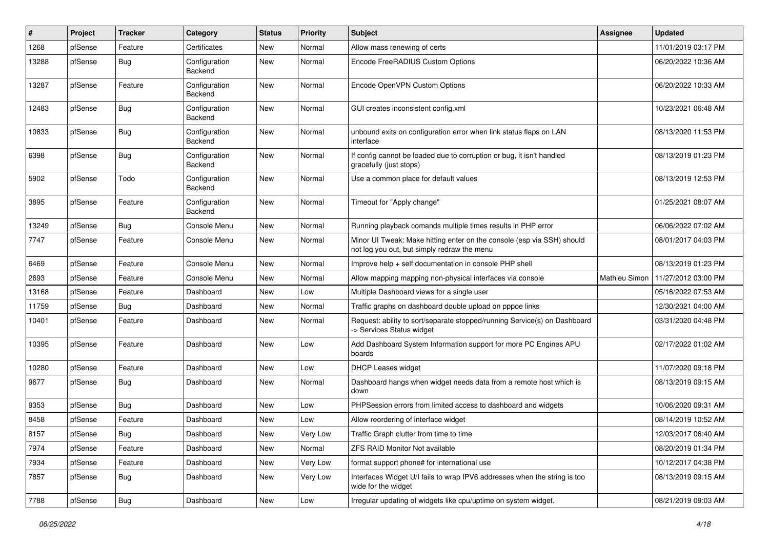| ∦     | Project | <b>Tracker</b> | Category                 | <b>Status</b> | <b>Priority</b> | Subject                                                                                                               | Assignee      | <b>Updated</b>      |
|-------|---------|----------------|--------------------------|---------------|-----------------|-----------------------------------------------------------------------------------------------------------------------|---------------|---------------------|
| 1268  | pfSense | Feature        | Certificates             | New           | Normal          | Allow mass renewing of certs                                                                                          |               | 11/01/2019 03:17 PM |
| 13288 | pfSense | Bug            | Configuration<br>Backend | <b>New</b>    | Normal          | Encode FreeRADIUS Custom Options                                                                                      |               | 06/20/2022 10:36 AM |
| 13287 | pfSense | Feature        | Configuration<br>Backend | New           | Normal          | Encode OpenVPN Custom Options                                                                                         |               | 06/20/2022 10:33 AM |
| 12483 | pfSense | <b>Bug</b>     | Configuration<br>Backend | <b>New</b>    | Normal          | GUI creates inconsistent config.xml                                                                                   |               | 10/23/2021 06:48 AM |
| 10833 | pfSense | Bug            | Configuration<br>Backend | New           | Normal          | unbound exits on configuration error when link status flaps on LAN<br>interface                                       |               | 08/13/2020 11:53 PM |
| 6398  | pfSense | Bug            | Configuration<br>Backend | New           | Normal          | If config cannot be loaded due to corruption or bug, it isn't handled<br>gracefully (just stops)                      |               | 08/13/2019 01:23 PM |
| 5902  | pfSense | Todo           | Configuration<br>Backend | <b>New</b>    | Normal          | Use a common place for default values                                                                                 |               | 08/13/2019 12:53 PM |
| 3895  | pfSense | Feature        | Configuration<br>Backend | <b>New</b>    | Normal          | Timeout for "Apply change"                                                                                            |               | 01/25/2021 08:07 AM |
| 13249 | pfSense | Bug            | Console Menu             | <b>New</b>    | Normal          | Running playback comands multiple times results in PHP error                                                          |               | 06/06/2022 07:02 AM |
| 7747  | pfSense | Feature        | Console Menu             | <b>New</b>    | Normal          | Minor UI Tweak: Make hitting enter on the console (esp via SSH) should<br>not log you out, but simply redraw the menu |               | 08/01/2017 04:03 PM |
| 6469  | pfSense | Feature        | Console Menu             | <b>New</b>    | Normal          | Improve help + self documentation in console PHP shell                                                                |               | 08/13/2019 01:23 PM |
| 2693  | pfSense | Feature        | Console Menu             | <b>New</b>    | Normal          | Allow mapping mapping non-physical interfaces via console                                                             | Mathieu Simon | 11/27/2012 03:00 PM |
| 13168 | pfSense | Feature        | Dashboard                | <b>New</b>    | Low             | Multiple Dashboard views for a single user                                                                            |               | 05/16/2022 07:53 AM |
| 11759 | pfSense | Bug            | Dashboard                | New           | Normal          | Traffic graphs on dashboard double upload on pppoe links                                                              |               | 12/30/2021 04:00 AM |
| 10401 | pfSense | Feature        | Dashboard                | New           | Normal          | Request: ability to sort/separate stopped/running Service(s) on Dashboard<br>-> Services Status widget                |               | 03/31/2020 04:48 PM |
| 10395 | pfSense | Feature        | Dashboard                | <b>New</b>    | Low             | Add Dashboard System Information support for more PC Engines APU<br>boards                                            |               | 02/17/2022 01:02 AM |
| 10280 | pfSense | Feature        | Dashboard                | <b>New</b>    | Low             | <b>DHCP Leases widget</b>                                                                                             |               | 11/07/2020 09:18 PM |
| 9677  | pfSense | Bug            | Dashboard                | New           | Normal          | Dashboard hangs when widget needs data from a remote host which is<br>down                                            |               | 08/13/2019 09:15 AM |
| 9353  | pfSense | Bug            | Dashboard                | New           | Low             | PHPSession errors from limited access to dashboard and widgets                                                        |               | 10/06/2020 09:31 AM |
| 8458  | pfSense | Feature        | Dashboard                | New           | Low             | Allow reordering of interface widget                                                                                  |               | 08/14/2019 10:52 AM |
| 8157  | pfSense | <b>Bug</b>     | Dashboard                | New           | Very Low        | Traffic Graph clutter from time to time                                                                               |               | 12/03/2017 06:40 AM |
| 7974  | pfSense | Feature        | Dashboard                | New           | Normal          | <b>ZFS RAID Monitor Not available</b>                                                                                 |               | 08/20/2019 01:34 PM |
| 7934  | pfSense | Feature        | Dashboard                | New           | Very Low        | format support phone# for international use                                                                           |               | 10/12/2017 04:38 PM |
| 7857  | pfSense | <b>Bug</b>     | Dashboard                | New           | Very Low        | Interfaces Widget U/I fails to wrap IPV6 addresses when the string is too<br>wide for the widget                      |               | 08/13/2019 09:15 AM |
| 7788  | pfSense | <b>Bug</b>     | Dashboard                | New           | Low             | Irregular updating of widgets like cpu/uptime on system widget.                                                       |               | 08/21/2019 09:03 AM |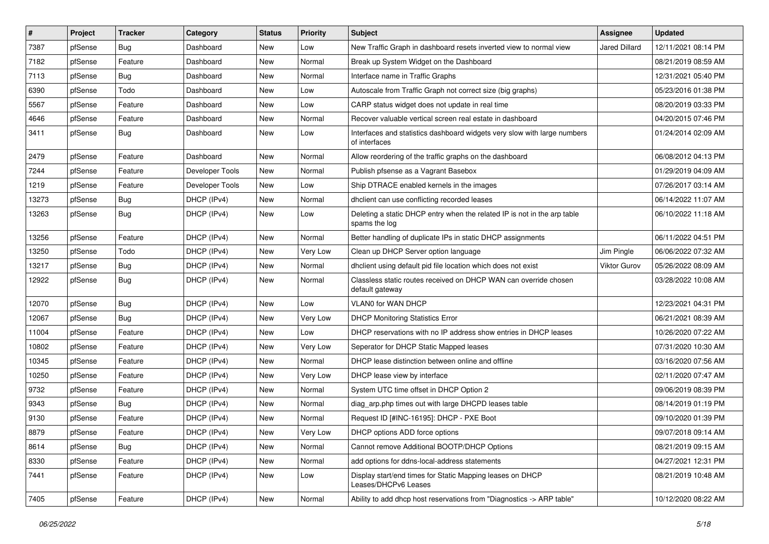| $\vert$ # | Project | <b>Tracker</b> | Category        | <b>Status</b> | <b>Priority</b> | <b>Subject</b>                                                                            | <b>Assignee</b>     | <b>Updated</b>      |
|-----------|---------|----------------|-----------------|---------------|-----------------|-------------------------------------------------------------------------------------------|---------------------|---------------------|
| 7387      | pfSense | <b>Bug</b>     | Dashboard       | New           | Low             | New Traffic Graph in dashboard resets inverted view to normal view                        | Jared Dillard       | 12/11/2021 08:14 PM |
| 7182      | pfSense | Feature        | Dashboard       | New           | Normal          | Break up System Widget on the Dashboard                                                   |                     | 08/21/2019 08:59 AM |
| 7113      | pfSense | Bug            | Dashboard       | New           | Normal          | Interface name in Traffic Graphs                                                          |                     | 12/31/2021 05:40 PM |
| 6390      | pfSense | Todo           | Dashboard       | New           | Low             | Autoscale from Traffic Graph not correct size (big graphs)                                |                     | 05/23/2016 01:38 PM |
| 5567      | pfSense | Feature        | Dashboard       | New           | Low             | CARP status widget does not update in real time                                           |                     | 08/20/2019 03:33 PM |
| 4646      | pfSense | Feature        | Dashboard       | New           | Normal          | Recover valuable vertical screen real estate in dashboard                                 |                     | 04/20/2015 07:46 PM |
| 3411      | pfSense | Bug            | Dashboard       | New           | Low             | Interfaces and statistics dashboard widgets very slow with large numbers<br>of interfaces |                     | 01/24/2014 02:09 AM |
| 2479      | pfSense | Feature        | Dashboard       | New           | Normal          | Allow reordering of the traffic graphs on the dashboard                                   |                     | 06/08/2012 04:13 PM |
| 7244      | pfSense | Feature        | Developer Tools | New           | Normal          | Publish pfsense as a Vagrant Basebox                                                      |                     | 01/29/2019 04:09 AM |
| 1219      | pfSense | Feature        | Developer Tools | New           | Low             | Ship DTRACE enabled kernels in the images                                                 |                     | 07/26/2017 03:14 AM |
| 13273     | pfSense | <b>Bug</b>     | DHCP (IPv4)     | New           | Normal          | dhclient can use conflicting recorded leases                                              |                     | 06/14/2022 11:07 AM |
| 13263     | pfSense | Bug            | DHCP (IPv4)     | <b>New</b>    | Low             | Deleting a static DHCP entry when the related IP is not in the arp table<br>spams the log |                     | 06/10/2022 11:18 AM |
| 13256     | pfSense | Feature        | DHCP (IPv4)     | <b>New</b>    | Normal          | Better handling of duplicate IPs in static DHCP assignments                               |                     | 06/11/2022 04:51 PM |
| 13250     | pfSense | Todo           | DHCP (IPv4)     | New           | Very Low        | Clean up DHCP Server option language                                                      | Jim Pingle          | 06/06/2022 07:32 AM |
| 13217     | pfSense | Bug            | DHCP (IPv4)     | New           | Normal          | dhclient using default pid file location which does not exist                             | <b>Viktor Gurov</b> | 05/26/2022 08:09 AM |
| 12922     | pfSense | Bug            | DHCP (IPv4)     | New           | Normal          | Classless static routes received on DHCP WAN can override chosen<br>default gateway       |                     | 03/28/2022 10:08 AM |
| 12070     | pfSense | Bug            | DHCP (IPv4)     | New           | Low             | VLAN0 for WAN DHCP                                                                        |                     | 12/23/2021 04:31 PM |
| 12067     | pfSense | Bug            | DHCP (IPv4)     | <b>New</b>    | Very Low        | <b>DHCP Monitoring Statistics Error</b>                                                   |                     | 06/21/2021 08:39 AM |
| 11004     | pfSense | Feature        | DHCP (IPv4)     | New           | Low             | DHCP reservations with no IP address show entries in DHCP leases                          |                     | 10/26/2020 07:22 AM |
| 10802     | pfSense | Feature        | DHCP (IPv4)     | New           | Very Low        | Seperator for DHCP Static Mapped leases                                                   |                     | 07/31/2020 10:30 AM |
| 10345     | pfSense | Feature        | DHCP (IPv4)     | New           | Normal          | DHCP lease distinction between online and offline                                         |                     | 03/16/2020 07:56 AM |
| 10250     | pfSense | Feature        | DHCP (IPv4)     | New           | Very Low        | DHCP lease view by interface                                                              |                     | 02/11/2020 07:47 AM |
| 9732      | pfSense | Feature        | DHCP (IPv4)     | <b>New</b>    | Normal          | System UTC time offset in DHCP Option 2                                                   |                     | 09/06/2019 08:39 PM |
| 9343      | pfSense | <b>Bug</b>     | DHCP (IPv4)     | New           | Normal          | diag arp.php times out with large DHCPD leases table                                      |                     | 08/14/2019 01:19 PM |
| 9130      | pfSense | Feature        | DHCP (IPv4)     | New           | Normal          | Request ID [#INC-16195]: DHCP - PXE Boot                                                  |                     | 09/10/2020 01:39 PM |
| 8879      | pfSense | Feature        | DHCP (IPv4)     | New           | Very Low        | DHCP options ADD force options                                                            |                     | 09/07/2018 09:14 AM |
| 8614      | pfSense | Bug            | DHCP (IPv4)     | New           | Normal          | Cannot remove Additional BOOTP/DHCP Options                                               |                     | 08/21/2019 09:15 AM |
| 8330      | pfSense | Feature        | DHCP (IPv4)     | New           | Normal          | add options for ddns-local-address statements                                             |                     | 04/27/2021 12:31 PM |
| 7441      | pfSense | Feature        | DHCP (IPv4)     | New           | Low             | Display start/end times for Static Mapping leases on DHCP<br>Leases/DHCPv6 Leases         |                     | 08/21/2019 10:48 AM |
| 7405      | pfSense | Feature        | DHCP (IPv4)     | New           | Normal          | Ability to add dhcp host reservations from "Diagnostics -> ARP table"                     |                     | 10/12/2020 08:22 AM |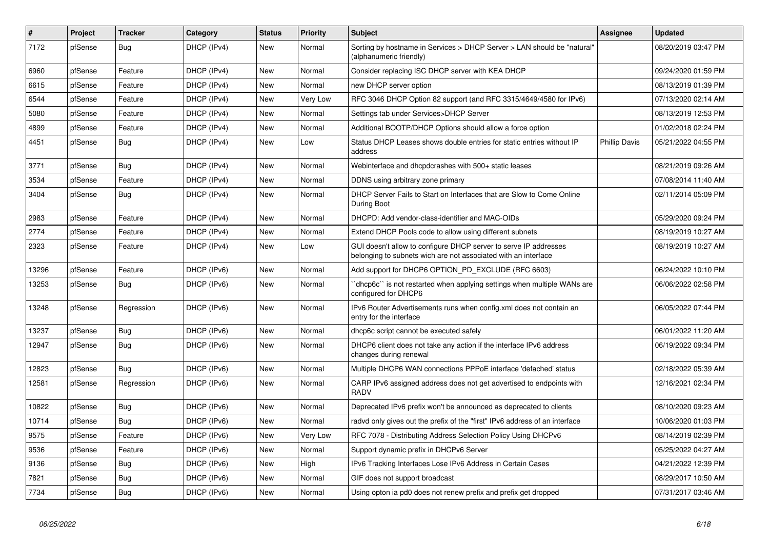| #     | Project | <b>Tracker</b> | Category    | <b>Status</b> | <b>Priority</b> | <b>Subject</b>                                                                                                                     | Assignee             | <b>Updated</b>      |
|-------|---------|----------------|-------------|---------------|-----------------|------------------------------------------------------------------------------------------------------------------------------------|----------------------|---------------------|
| 7172  | pfSense | <b>Bug</b>     | DHCP (IPv4) | <b>New</b>    | Normal          | Sorting by hostname in Services > DHCP Server > LAN should be "natural"<br>(alphanumeric friendly)                                 |                      | 08/20/2019 03:47 PM |
| 6960  | pfSense | Feature        | DHCP (IPv4) | <b>New</b>    | Normal          | Consider replacing ISC DHCP server with KEA DHCP                                                                                   |                      | 09/24/2020 01:59 PM |
| 6615  | pfSense | Feature        | DHCP (IPv4) | <b>New</b>    | Normal          | new DHCP server option                                                                                                             |                      | 08/13/2019 01:39 PM |
| 6544  | pfSense | Feature        | DHCP (IPv4) | <b>New</b>    | Very Low        | RFC 3046 DHCP Option 82 support (and RFC 3315/4649/4580 for IPv6)                                                                  |                      | 07/13/2020 02:14 AM |
| 5080  | pfSense | Feature        | DHCP (IPv4) | <b>New</b>    | Normal          | Settings tab under Services>DHCP Server                                                                                            |                      | 08/13/2019 12:53 PM |
| 4899  | pfSense | Feature        | DHCP (IPv4) | <b>New</b>    | Normal          | Additional BOOTP/DHCP Options should allow a force option                                                                          |                      | 01/02/2018 02:24 PM |
| 4451  | pfSense | <b>Bug</b>     | DHCP (IPv4) | <b>New</b>    | Low             | Status DHCP Leases shows double entries for static entries without IP<br>address                                                   | <b>Phillip Davis</b> | 05/21/2022 04:55 PM |
| 3771  | pfSense | <b>Bug</b>     | DHCP (IPv4) | <b>New</b>    | Normal          | Webinterface and dhcpdcrashes with 500+ static leases                                                                              |                      | 08/21/2019 09:26 AM |
| 3534  | pfSense | Feature        | DHCP (IPv4) | <b>New</b>    | Normal          | DDNS using arbitrary zone primary                                                                                                  |                      | 07/08/2014 11:40 AM |
| 3404  | pfSense | <b>Bug</b>     | DHCP (IPv4) | <b>New</b>    | Normal          | DHCP Server Fails to Start on Interfaces that are Slow to Come Online<br>During Boot                                               |                      | 02/11/2014 05:09 PM |
| 2983  | pfSense | Feature        | DHCP (IPv4) | <b>New</b>    | Normal          | DHCPD: Add vendor-class-identifier and MAC-OIDs                                                                                    |                      | 05/29/2020 09:24 PM |
| 2774  | pfSense | Feature        | DHCP (IPv4) | New           | Normal          | Extend DHCP Pools code to allow using different subnets                                                                            |                      | 08/19/2019 10:27 AM |
| 2323  | pfSense | Feature        | DHCP (IPv4) | <b>New</b>    | Low             | GUI doesn't allow to configure DHCP server to serve IP addresses<br>belonging to subnets wich are not associated with an interface |                      | 08/19/2019 10:27 AM |
| 13296 | pfSense | Feature        | DHCP (IPv6) | <b>New</b>    | Normal          | Add support for DHCP6 OPTION PD EXCLUDE (RFC 6603)                                                                                 |                      | 06/24/2022 10:10 PM |
| 13253 | pfSense | <b>Bug</b>     | DHCP (IPv6) | <b>New</b>    | Normal          | dhcp6c` is not restarted when applying settings when multiple WANs are<br>configured for DHCP6                                     |                      | 06/06/2022 02:58 PM |
| 13248 | pfSense | Regression     | DHCP (IPv6) | <b>New</b>    | Normal          | IPv6 Router Advertisements runs when config.xml does not contain an<br>entry for the interface                                     |                      | 06/05/2022 07:44 PM |
| 13237 | pfSense | <b>Bug</b>     | DHCP (IPv6) | <b>New</b>    | Normal          | dhcp6c script cannot be executed safely                                                                                            |                      | 06/01/2022 11:20 AM |
| 12947 | pfSense | <b>Bug</b>     | DHCP (IPv6) | <b>New</b>    | Normal          | DHCP6 client does not take any action if the interface IPv6 address<br>changes during renewal                                      |                      | 06/19/2022 09:34 PM |
| 12823 | pfSense | Bug            | DHCP (IPv6) | <b>New</b>    | Normal          | Multiple DHCP6 WAN connections PPPoE interface 'defached' status                                                                   |                      | 02/18/2022 05:39 AM |
| 12581 | pfSense | Regression     | DHCP (IPv6) | <b>New</b>    | Normal          | CARP IPv6 assigned address does not get advertised to endpoints with<br><b>RADV</b>                                                |                      | 12/16/2021 02:34 PM |
| 10822 | pfSense | <b>Bug</b>     | DHCP (IPv6) | <b>New</b>    | Normal          | Deprecated IPv6 prefix won't be announced as deprecated to clients                                                                 |                      | 08/10/2020 09:23 AM |
| 10714 | pfSense | Bug            | DHCP (IPv6) | <b>New</b>    | Normal          | radvd only gives out the prefix of the "first" IPv6 address of an interface                                                        |                      | 10/06/2020 01:03 PM |
| 9575  | pfSense | Feature        | DHCP (IPv6) | New           | Very Low        | RFC 7078 - Distributing Address Selection Policy Using DHCPv6                                                                      |                      | 08/14/2019 02:39 PM |
| 9536  | pfSense | Feature        | DHCP (IPv6) | <b>New</b>    | Normal          | Support dynamic prefix in DHCPv6 Server                                                                                            |                      | 05/25/2022 04:27 AM |
| 9136  | pfSense | <b>Bug</b>     | DHCP (IPv6) | New           | High            | IPv6 Tracking Interfaces Lose IPv6 Address in Certain Cases                                                                        |                      | 04/21/2022 12:39 PM |
| 7821  | pfSense | Bug            | DHCP (IPv6) | <b>New</b>    | Normal          | GIF does not support broadcast                                                                                                     |                      | 08/29/2017 10:50 AM |
| 7734  | pfSense | Bug            | DHCP (IPv6) | New           | Normal          | Using opton ia pd0 does not renew prefix and prefix get dropped                                                                    |                      | 07/31/2017 03:46 AM |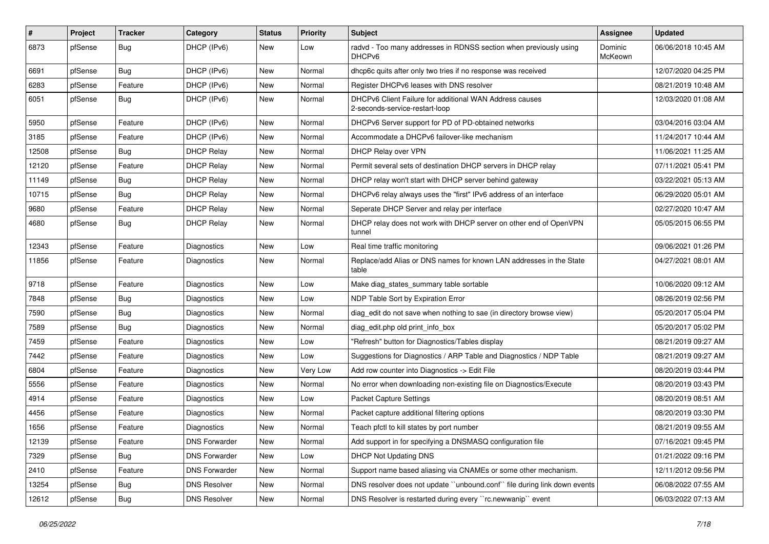| #     | Project | <b>Tracker</b> | Category             | <b>Status</b> | <b>Priority</b> | <b>Subject</b>                                                                            | Assignee           | <b>Updated</b>      |
|-------|---------|----------------|----------------------|---------------|-----------------|-------------------------------------------------------------------------------------------|--------------------|---------------------|
| 6873  | pfSense | Bug            | DHCP (IPv6)          | New           | Low             | radvd - Too many addresses in RDNSS section when previously using<br>DHCP <sub>v6</sub>   | Dominic<br>McKeown | 06/06/2018 10:45 AM |
| 6691  | pfSense | Bug            | DHCP (IPv6)          | New           | Normal          | dhcp6c quits after only two tries if no response was received                             |                    | 12/07/2020 04:25 PM |
| 6283  | pfSense | Feature        | DHCP (IPv6)          | <b>New</b>    | Normal          | Register DHCPv6 leases with DNS resolver                                                  |                    | 08/21/2019 10:48 AM |
| 6051  | pfSense | Bug            | DHCP (IPv6)          | <b>New</b>    | Normal          | DHCPv6 Client Failure for additional WAN Address causes<br>2-seconds-service-restart-loop |                    | 12/03/2020 01:08 AM |
| 5950  | pfSense | Feature        | DHCP (IPv6)          | New           | Normal          | DHCPv6 Server support for PD of PD-obtained networks                                      |                    | 03/04/2016 03:04 AM |
| 3185  | pfSense | Feature        | DHCP (IPv6)          | <b>New</b>    | Normal          | Accommodate a DHCPv6 failover-like mechanism                                              |                    | 11/24/2017 10:44 AM |
| 12508 | pfSense | Bug            | <b>DHCP Relay</b>    | <b>New</b>    | Normal          | DHCP Relay over VPN                                                                       |                    | 11/06/2021 11:25 AM |
| 12120 | pfSense | Feature        | <b>DHCP Relay</b>    | <b>New</b>    | Normal          | Permit several sets of destination DHCP servers in DHCP relay                             |                    | 07/11/2021 05:41 PM |
| 11149 | pfSense | Bug            | <b>DHCP Relay</b>    | New           | Normal          | DHCP relay won't start with DHCP server behind gateway                                    |                    | 03/22/2021 05:13 AM |
| 10715 | pfSense | Bug            | <b>DHCP Relay</b>    | New           | Normal          | DHCPv6 relay always uses the "first" IPv6 address of an interface                         |                    | 06/29/2020 05:01 AM |
| 9680  | pfSense | Feature        | <b>DHCP Relay</b>    | <b>New</b>    | Normal          | Seperate DHCP Server and relay per interface                                              |                    | 02/27/2020 10:47 AM |
| 4680  | pfSense | <b>Bug</b>     | <b>DHCP Relay</b>    | New           | Normal          | DHCP relay does not work with DHCP server on other end of OpenVPN<br>tunnel               |                    | 05/05/2015 06:55 PM |
| 12343 | pfSense | Feature        | Diagnostics          | New           | Low             | Real time traffic monitoring                                                              |                    | 09/06/2021 01:26 PM |
| 11856 | pfSense | Feature        | Diagnostics          | New           | Normal          | Replace/add Alias or DNS names for known LAN addresses in the State<br>table              |                    | 04/27/2021 08:01 AM |
| 9718  | pfSense | Feature        | <b>Diagnostics</b>   | New           | Low             | Make diag_states_summary table sortable                                                   |                    | 10/06/2020 09:12 AM |
| 7848  | pfSense | <b>Bug</b>     | Diagnostics          | <b>New</b>    | Low             | NDP Table Sort by Expiration Error                                                        |                    | 08/26/2019 02:56 PM |
| 7590  | pfSense | <b>Bug</b>     | Diagnostics          | <b>New</b>    | Normal          | diag_edit do not save when nothing to sae (in directory browse view)                      |                    | 05/20/2017 05:04 PM |
| 7589  | pfSense | <b>Bug</b>     | Diagnostics          | New           | Normal          | diag edit.php old print info box                                                          |                    | 05/20/2017 05:02 PM |
| 7459  | pfSense | Feature        | <b>Diagnostics</b>   | <b>New</b>    | Low             | 'Refresh" button for Diagnostics/Tables display                                           |                    | 08/21/2019 09:27 AM |
| 7442  | pfSense | Feature        | Diagnostics          | New           | Low             | Suggestions for Diagnostics / ARP Table and Diagnostics / NDP Table                       |                    | 08/21/2019 09:27 AM |
| 6804  | pfSense | Feature        | Diagnostics          | New           | Very Low        | Add row counter into Diagnostics -> Edit File                                             |                    | 08/20/2019 03:44 PM |
| 5556  | pfSense | Feature        | <b>Diagnostics</b>   | <b>New</b>    | Normal          | No error when downloading non-existing file on Diagnostics/Execute                        |                    | 08/20/2019 03:43 PM |
| 4914  | pfSense | Feature        | Diagnostics          | New           | Low             | <b>Packet Capture Settings</b>                                                            |                    | 08/20/2019 08:51 AM |
| 4456  | pfSense | Feature        | Diagnostics          | New           | Normal          | Packet capture additional filtering options                                               |                    | 08/20/2019 03:30 PM |
| 1656  | pfSense | Feature        | <b>Diagnostics</b>   | New           | Normal          | Teach pfctl to kill states by port number                                                 |                    | 08/21/2019 09:55 AM |
| 12139 | pfSense | Feature        | <b>DNS Forwarder</b> | New           | Normal          | Add support in for specifying a DNSMASQ configuration file                                |                    | 07/16/2021 09:45 PM |
| 7329  | pfSense | <b>Bug</b>     | <b>DNS Forwarder</b> | New           | Low             | <b>DHCP Not Updating DNS</b>                                                              |                    | 01/21/2022 09:16 PM |
| 2410  | pfSense | Feature        | <b>DNS Forwarder</b> | New           | Normal          | Support name based aliasing via CNAMEs or some other mechanism.                           |                    | 12/11/2012 09:56 PM |
| 13254 | pfSense | <b>Bug</b>     | <b>DNS Resolver</b>  | New           | Normal          | DNS resolver does not update "unbound.conf" file during link down events                  |                    | 06/08/2022 07:55 AM |
| 12612 | pfSense | Bug            | <b>DNS Resolver</b>  | New           | Normal          | DNS Resolver is restarted during every "rc.newwanip" event                                |                    | 06/03/2022 07:13 AM |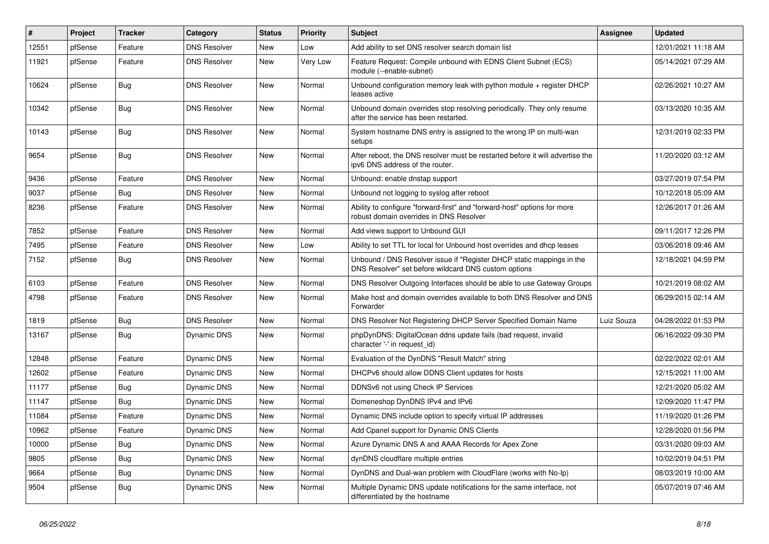| $\vert$ # | Project | <b>Tracker</b> | Category            | <b>Status</b> | <b>Priority</b> | <b>Subject</b>                                                                                                                | Assignee   | <b>Updated</b>      |
|-----------|---------|----------------|---------------------|---------------|-----------------|-------------------------------------------------------------------------------------------------------------------------------|------------|---------------------|
| 12551     | pfSense | Feature        | <b>DNS Resolver</b> | <b>New</b>    | Low             | Add ability to set DNS resolver search domain list                                                                            |            | 12/01/2021 11:18 AM |
| 11921     | pfSense | Feature        | <b>DNS Resolver</b> | New           | Very Low        | Feature Request: Compile unbound with EDNS Client Subnet (ECS)<br>module (--enable-subnet)                                    |            | 05/14/2021 07:29 AM |
| 10624     | pfSense | <b>Bug</b>     | <b>DNS Resolver</b> | New           | Normal          | Unbound configuration memory leak with python module + register DHCP<br>leases active                                         |            | 02/26/2021 10:27 AM |
| 10342     | pfSense | <b>Bug</b>     | <b>DNS Resolver</b> | New           | Normal          | Unbound domain overrides stop resolving periodically. They only resume<br>after the service has been restarted.               |            | 03/13/2020 10:35 AM |
| 10143     | pfSense | <b>Bug</b>     | <b>DNS Resolver</b> | <b>New</b>    | Normal          | System hostname DNS entry is assigned to the wrong IP on multi-wan<br>setups                                                  |            | 12/31/2019 02:33 PM |
| 9654      | pfSense | <b>Bug</b>     | <b>DNS Resolver</b> | New           | Normal          | After reboot, the DNS resolver must be restarted before it will advertise the<br>ipv6 DNS address of the router.              |            | 11/20/2020 03:12 AM |
| 9436      | pfSense | Feature        | <b>DNS Resolver</b> | New           | Normal          | Unbound: enable dnstap support                                                                                                |            | 03/27/2019 07:54 PM |
| 9037      | pfSense | <b>Bug</b>     | <b>DNS Resolver</b> | <b>New</b>    | Normal          | Unbound not logging to syslog after reboot                                                                                    |            | 10/12/2018 05:09 AM |
| 8236      | pfSense | Feature        | <b>DNS Resolver</b> | New           | Normal          | Ability to configure "forward-first" and "forward-host" options for more<br>robust domain overrides in DNS Resolver           |            | 12/26/2017 01:26 AM |
| 7852      | pfSense | Feature        | <b>DNS Resolver</b> | <b>New</b>    | Normal          | Add views support to Unbound GUI                                                                                              |            | 09/11/2017 12:26 PM |
| 7495      | pfSense | Feature        | <b>DNS Resolver</b> | <b>New</b>    | Low             | Ability to set TTL for local for Unbound host overrides and dhcp leases                                                       |            | 03/06/2018 09:46 AM |
| 7152      | pfSense | <b>Bug</b>     | <b>DNS Resolver</b> | <b>New</b>    | Normal          | Unbound / DNS Resolver issue if "Register DHCP static mappings in the<br>DNS Resolver" set before wildcard DNS custom options |            | 12/18/2021 04:59 PM |
| 6103      | pfSense | Feature        | <b>DNS Resolver</b> | New           | Normal          | DNS Resolver Outgoing Interfaces should be able to use Gateway Groups                                                         |            | 10/21/2019 08:02 AM |
| 4798      | pfSense | Feature        | <b>DNS Resolver</b> | New           | Normal          | Make host and domain overrides available to both DNS Resolver and DNS<br>Forwarder                                            |            | 06/29/2015 02:14 AM |
| 1819      | pfSense | <b>Bug</b>     | <b>DNS Resolver</b> | <b>New</b>    | Normal          | DNS Resolver Not Registering DHCP Server Specified Domain Name                                                                | Luiz Souza | 04/28/2022 01:53 PM |
| 13167     | pfSense | <b>Bug</b>     | <b>Dynamic DNS</b>  | <b>New</b>    | Normal          | phpDynDNS: DigitalOcean ddns update fails (bad request, invalid<br>character '-' in request id)                               |            | 06/16/2022 09:30 PM |
| 12848     | pfSense | Feature        | Dynamic DNS         | <b>New</b>    | Normal          | Evaluation of the DynDNS "Result Match" string                                                                                |            | 02/22/2022 02:01 AM |
| 12602     | pfSense | Feature        | Dynamic DNS         | <b>New</b>    | Normal          | DHCPv6 should allow DDNS Client updates for hosts                                                                             |            | 12/15/2021 11:00 AM |
| 11177     | pfSense | <b>Bug</b>     | Dynamic DNS         | New           | Normal          | DDNSv6 not using Check IP Services                                                                                            |            | 12/21/2020 05:02 AM |
| 11147     | pfSense | <b>Bug</b>     | Dynamic DNS         | New           | Normal          | Domeneshop DynDNS IPv4 and IPv6                                                                                               |            | 12/09/2020 11:47 PM |
| 11084     | pfSense | Feature        | Dynamic DNS         | New           | Normal          | Dynamic DNS include option to specify virtual IP addresses                                                                    |            | 11/19/2020 01:26 PM |
| 10962     | pfSense | Feature        | Dynamic DNS         | New           | Normal          | Add Cpanel support for Dynamic DNS Clients                                                                                    |            | 12/28/2020 01:56 PM |
| 10000     | pfSense | <b>Bug</b>     | Dynamic DNS         | New           | Normal          | Azure Dynamic DNS A and AAAA Records for Apex Zone                                                                            |            | 03/31/2020 09:03 AM |
| 9805      | pfSense | <b>Bug</b>     | Dynamic DNS         | New           | Normal          | dynDNS cloudflare multiple entries                                                                                            |            | 10/02/2019 04:51 PM |
| 9664      | pfSense | <b>Bug</b>     | Dynamic DNS         | New           | Normal          | DynDNS and Dual-wan problem with CloudFlare (works with No-Ip)                                                                |            | 08/03/2019 10:00 AM |
| 9504      | pfSense | <b>Bug</b>     | Dynamic DNS         | New           | Normal          | Multiple Dynamic DNS update notifications for the same interface, not<br>differentiated by the hostname                       |            | 05/07/2019 07:46 AM |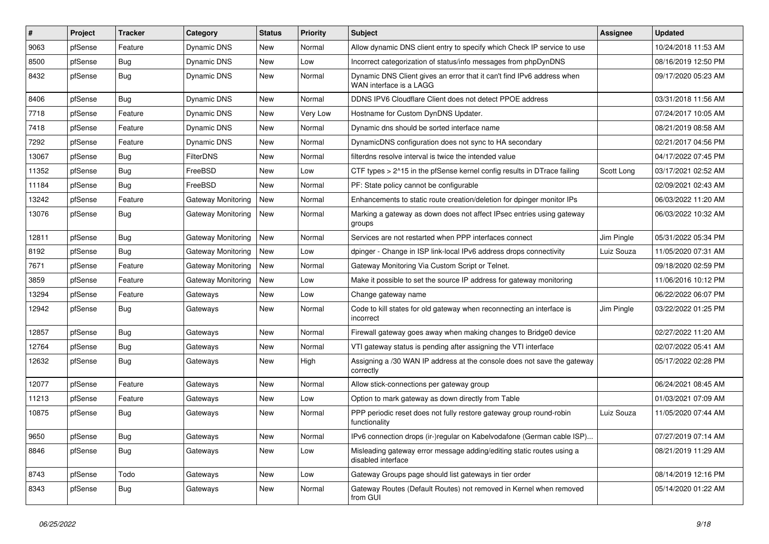| #     | Project | <b>Tracker</b> | Category           | <b>Status</b> | <b>Priority</b> | <b>Subject</b>                                                                                    | Assignee   | <b>Updated</b>      |
|-------|---------|----------------|--------------------|---------------|-----------------|---------------------------------------------------------------------------------------------------|------------|---------------------|
| 9063  | pfSense | Feature        | Dynamic DNS        | New           | Normal          | Allow dynamic DNS client entry to specify which Check IP service to use                           |            | 10/24/2018 11:53 AM |
| 8500  | pfSense | <b>Bug</b>     | Dynamic DNS        | New           | Low             | Incorrect categorization of status/info messages from phpDynDNS                                   |            | 08/16/2019 12:50 PM |
| 8432  | pfSense | <b>Bug</b>     | Dynamic DNS        | New           | Normal          | Dynamic DNS Client gives an error that it can't find IPv6 address when<br>WAN interface is a LAGG |            | 09/17/2020 05:23 AM |
| 8406  | pfSense | <b>Bug</b>     | <b>Dynamic DNS</b> | <b>New</b>    | Normal          | DDNS IPV6 Cloudflare Client does not detect PPOE address                                          |            | 03/31/2018 11:56 AM |
| 7718  | pfSense | Feature        | Dynamic DNS        | New           | Very Low        | Hostname for Custom DynDNS Updater.                                                               |            | 07/24/2017 10:05 AM |
| 7418  | pfSense | Feature        | Dynamic DNS        | New           | Normal          | Dynamic dns should be sorted interface name                                                       |            | 08/21/2019 08:58 AM |
| 7292  | pfSense | Feature        | Dynamic DNS        | New           | Normal          | DynamicDNS configuration does not sync to HA secondary                                            |            | 02/21/2017 04:56 PM |
| 13067 | pfSense | <b>Bug</b>     | <b>FilterDNS</b>   | New           | Normal          | filterdns resolve interval is twice the intended value                                            |            | 04/17/2022 07:45 PM |
| 11352 | pfSense | <b>Bug</b>     | FreeBSD            | New           | Low             | CTF types > 2^15 in the pfSense kernel config results in DTrace failing                           | Scott Long | 03/17/2021 02:52 AM |
| 11184 | pfSense | Bug            | FreeBSD            | New           | Normal          | PF: State policy cannot be configurable                                                           |            | 02/09/2021 02:43 AM |
| 13242 | pfSense | Feature        | Gateway Monitoring | New           | Normal          | Enhancements to static route creation/deletion for dpinger monitor IPs                            |            | 06/03/2022 11:20 AM |
| 13076 | pfSense | <b>Bug</b>     | Gateway Monitoring | <b>New</b>    | Normal          | Marking a gateway as down does not affect IPsec entries using gateway<br>groups                   |            | 06/03/2022 10:32 AM |
| 12811 | pfSense | Bug            | Gateway Monitoring | New           | Normal          | Services are not restarted when PPP interfaces connect                                            | Jim Pingle | 05/31/2022 05:34 PM |
| 8192  | pfSense | <b>Bug</b>     | Gateway Monitoring | New           | Low             | dpinger - Change in ISP link-local IPv6 address drops connectivity                                | Luiz Souza | 11/05/2020 07:31 AM |
| 7671  | pfSense | Feature        | Gateway Monitoring | New           | Normal          | Gateway Monitoring Via Custom Script or Telnet.                                                   |            | 09/18/2020 02:59 PM |
| 3859  | pfSense | Feature        | Gateway Monitoring | New           | Low             | Make it possible to set the source IP address for gateway monitoring                              |            | 11/06/2016 10:12 PM |
| 13294 | pfSense | Feature        | Gateways           | New           | Low             | Change gateway name                                                                               |            | 06/22/2022 06:07 PM |
| 12942 | pfSense | Bug            | Gateways           | New           | Normal          | Code to kill states for old gateway when reconnecting an interface is<br>incorrect                | Jim Pingle | 03/22/2022 01:25 PM |
| 12857 | pfSense | Bug            | Gateways           | New           | Normal          | Firewall gateway goes away when making changes to Bridge0 device                                  |            | 02/27/2022 11:20 AM |
| 12764 | pfSense | <b>Bug</b>     | Gateways           | New           | Normal          | VTI gateway status is pending after assigning the VTI interface                                   |            | 02/07/2022 05:41 AM |
| 12632 | pfSense | <b>Bug</b>     | Gateways           | New           | High            | Assigning a /30 WAN IP address at the console does not save the gateway<br>correctly              |            | 05/17/2022 02:28 PM |
| 12077 | pfSense | Feature        | Gateways           | <b>New</b>    | Normal          | Allow stick-connections per gateway group                                                         |            | 06/24/2021 08:45 AM |
| 11213 | pfSense | Feature        | Gateways           | <b>New</b>    | Low             | Option to mark gateway as down directly from Table                                                |            | 01/03/2021 07:09 AM |
| 10875 | pfSense | Bug            | Gateways           | New           | Normal          | PPP periodic reset does not fully restore gateway group round-robin<br>functionality              | Luiz Souza | 11/05/2020 07:44 AM |
| 9650  | pfSense | Bug            | Gateways           | New           | Normal          | IPv6 connection drops (ir-)regular on Kabelvodafone (German cable ISP)                            |            | 07/27/2019 07:14 AM |
| 8846  | pfSense | <b>Bug</b>     | Gateways           | New           | Low             | Misleading gateway error message adding/editing static routes using a<br>disabled interface       |            | 08/21/2019 11:29 AM |
| 8743  | pfSense | Todo           | Gateways           | New           | Low             | Gateway Groups page should list gateways in tier order                                            |            | 08/14/2019 12:16 PM |
| 8343  | pfSense | <b>Bug</b>     | Gateways           | New           | Normal          | Gateway Routes (Default Routes) not removed in Kernel when removed<br>from GUI                    |            | 05/14/2020 01:22 AM |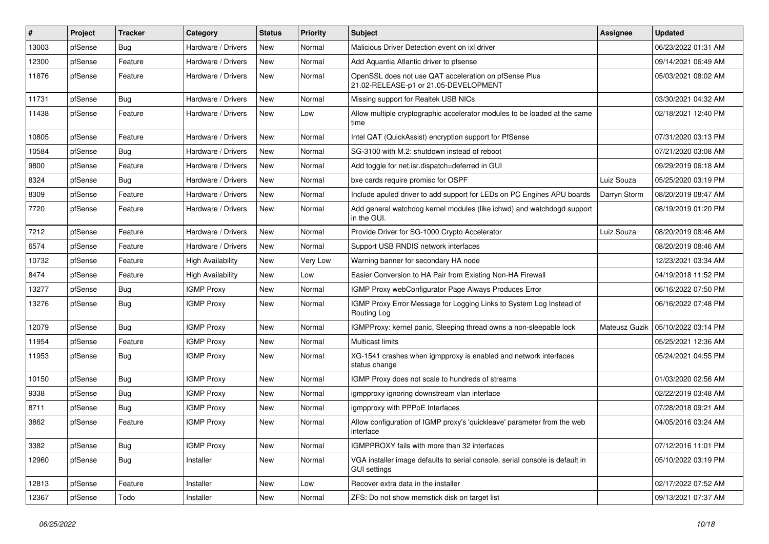| $\vert$ # | Project | <b>Tracker</b> | Category                 | <b>Status</b> | <b>Priority</b> | <b>Subject</b>                                                                                      | Assignee      | <b>Updated</b>      |
|-----------|---------|----------------|--------------------------|---------------|-----------------|-----------------------------------------------------------------------------------------------------|---------------|---------------------|
| 13003     | pfSense | Bug            | Hardware / Drivers       | New           | Normal          | Malicious Driver Detection event on ixl driver                                                      |               | 06/23/2022 01:31 AM |
| 12300     | pfSense | Feature        | Hardware / Drivers       | <b>New</b>    | Normal          | Add Aquantia Atlantic driver to pfsense                                                             |               | 09/14/2021 06:49 AM |
| 11876     | pfSense | Feature        | Hardware / Drivers       | New           | Normal          | OpenSSL does not use QAT acceleration on pfSense Plus<br>21.02-RELEASE-p1 or 21.05-DEVELOPMENT      |               | 05/03/2021 08:02 AM |
| 11731     | pfSense | Bug            | Hardware / Drivers       | <b>New</b>    | Normal          | Missing support for Realtek USB NICs                                                                |               | 03/30/2021 04:32 AM |
| 11438     | pfSense | Feature        | Hardware / Drivers       | New           | Low             | Allow multiple cryptographic accelerator modules to be loaded at the same<br>time                   |               | 02/18/2021 12:40 PM |
| 10805     | pfSense | Feature        | Hardware / Drivers       | <b>New</b>    | Normal          | Intel QAT (QuickAssist) encryption support for PfSense                                              |               | 07/31/2020 03:13 PM |
| 10584     | pfSense | Bug            | Hardware / Drivers       | New           | Normal          | SG-3100 with M.2: shutdown instead of reboot                                                        |               | 07/21/2020 03:08 AM |
| 9800      | pfSense | Feature        | Hardware / Drivers       | <b>New</b>    | Normal          | Add toggle for net.isr.dispatch=deferred in GUI                                                     |               | 09/29/2019 06:18 AM |
| 8324      | pfSense | Bug            | Hardware / Drivers       | New           | Normal          | bxe cards require promisc for OSPF                                                                  | Luiz Souza    | 05/25/2020 03:19 PM |
| 8309      | pfSense | Feature        | Hardware / Drivers       | New           | Normal          | Include apuled driver to add support for LEDs on PC Engines APU boards                              | Darryn Storm  | 08/20/2019 08:47 AM |
| 7720      | pfSense | Feature        | Hardware / Drivers       | <b>New</b>    | Normal          | Add general watchdog kernel modules (like ichwd) and watchdogd support<br>in the GUI.               |               | 08/19/2019 01:20 PM |
| 7212      | pfSense | Feature        | Hardware / Drivers       | New           | Normal          | Provide Driver for SG-1000 Crypto Accelerator                                                       | Luiz Souza    | 08/20/2019 08:46 AM |
| 6574      | pfSense | Feature        | Hardware / Drivers       | New           | Normal          | Support USB RNDIS network interfaces                                                                |               | 08/20/2019 08:46 AM |
| 10732     | pfSense | Feature        | <b>High Availability</b> | New           | Very Low        | Warning banner for secondary HA node                                                                |               | 12/23/2021 03:34 AM |
| 8474      | pfSense | Feature        | <b>High Availability</b> | <b>New</b>    | Low             | Easier Conversion to HA Pair from Existing Non-HA Firewall                                          |               | 04/19/2018 11:52 PM |
| 13277     | pfSense | Bug            | <b>IGMP Proxy</b>        | New           | Normal          | IGMP Proxy webConfigurator Page Always Produces Error                                               |               | 06/16/2022 07:50 PM |
| 13276     | pfSense | <b>Bug</b>     | <b>IGMP Proxy</b>        | New           | Normal          | IGMP Proxy Error Message for Logging Links to System Log Instead of<br>Routing Log                  |               | 06/16/2022 07:48 PM |
| 12079     | pfSense | Bug            | <b>IGMP Proxy</b>        | New           | Normal          | IGMPProxy: kernel panic, Sleeping thread owns a non-sleepable lock                                  | Mateusz Guzik | 05/10/2022 03:14 PM |
| 11954     | pfSense | Feature        | <b>IGMP Proxy</b>        | New           | Normal          | Multicast limits                                                                                    |               | 05/25/2021 12:36 AM |
| 11953     | pfSense | <b>Bug</b>     | <b>IGMP Proxy</b>        | New           | Normal          | XG-1541 crashes when igmpproxy is enabled and network interfaces<br>status change                   |               | 05/24/2021 04:55 PM |
| 10150     | pfSense | <b>Bug</b>     | <b>IGMP Proxy</b>        | <b>New</b>    | Normal          | IGMP Proxy does not scale to hundreds of streams                                                    |               | 01/03/2020 02:56 AM |
| 9338      | pfSense | Bug            | <b>IGMP Proxy</b>        | New           | Normal          | igmpproxy ignoring downstream vlan interface                                                        |               | 02/22/2019 03:48 AM |
| 8711      | pfSense | Bug            | <b>IGMP Proxy</b>        | New           | Normal          | igmpproxy with PPPoE Interfaces                                                                     |               | 07/28/2018 09:21 AM |
| 3862      | pfSense | Feature        | <b>IGMP Proxy</b>        | <b>New</b>    | Normal          | Allow configuration of IGMP proxy's 'quickleave' parameter from the web<br>interface                |               | 04/05/2016 03:24 AM |
| 3382      | pfSense | Bug            | <b>IGMP Proxy</b>        | New           | Normal          | IGMPPROXY fails with more than 32 interfaces                                                        |               | 07/12/2016 11:01 PM |
| 12960     | pfSense | <b>Bug</b>     | Installer                | New           | Normal          | VGA installer image defaults to serial console, serial console is default in<br><b>GUI settings</b> |               | 05/10/2022 03:19 PM |
| 12813     | pfSense | Feature        | Installer                | <b>New</b>    | Low             | Recover extra data in the installer                                                                 |               | 02/17/2022 07:52 AM |
| 12367     | pfSense | Todo           | Installer                | New           | Normal          | ZFS: Do not show memstick disk on target list                                                       |               | 09/13/2021 07:37 AM |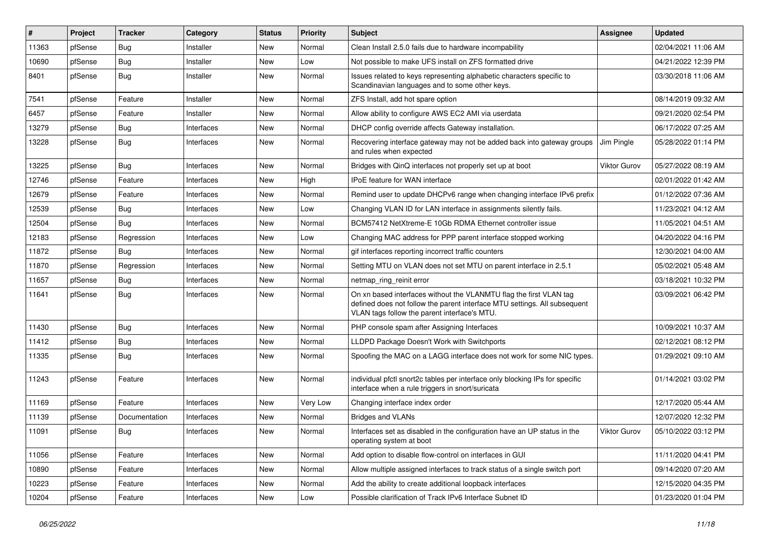| #     | Project | <b>Tracker</b> | Category   | <b>Status</b> | <b>Priority</b> | <b>Subject</b>                                                                                                                                                                                  | <b>Assignee</b> | <b>Updated</b>      |
|-------|---------|----------------|------------|---------------|-----------------|-------------------------------------------------------------------------------------------------------------------------------------------------------------------------------------------------|-----------------|---------------------|
| 11363 | pfSense | Bug            | Installer  | New           | Normal          | Clean Install 2.5.0 fails due to hardware incompability                                                                                                                                         |                 | 02/04/2021 11:06 AM |
| 10690 | pfSense | <b>Bug</b>     | Installer  | New           | Low             | Not possible to make UFS install on ZFS formatted drive                                                                                                                                         |                 | 04/21/2022 12:39 PM |
| 8401  | pfSense | Bug            | Installer  | New           | Normal          | Issues related to keys representing alphabetic characters specific to<br>Scandinavian languages and to some other keys.                                                                         |                 | 03/30/2018 11:06 AM |
| 7541  | pfSense | Feature        | Installer  | New           | Normal          | ZFS Install, add hot spare option                                                                                                                                                               |                 | 08/14/2019 09:32 AM |
| 6457  | pfSense | Feature        | Installer  | New           | Normal          | Allow ability to configure AWS EC2 AMI via userdata                                                                                                                                             |                 | 09/21/2020 02:54 PM |
| 13279 | pfSense | <b>Bug</b>     | Interfaces | New           | Normal          | DHCP config override affects Gateway installation.                                                                                                                                              |                 | 06/17/2022 07:25 AM |
| 13228 | pfSense | <b>Bug</b>     | Interfaces | New           | Normal          | Recovering interface gateway may not be added back into gateway groups<br>and rules when expected                                                                                               | Jim Pingle      | 05/28/2022 01:14 PM |
| 13225 | pfSense | Bug            | Interfaces | <b>New</b>    | Normal          | Bridges with QinQ interfaces not properly set up at boot                                                                                                                                        | Viktor Gurov    | 05/27/2022 08:19 AM |
| 12746 | pfSense | Feature        | Interfaces | New           | High            | IPoE feature for WAN interface                                                                                                                                                                  |                 | 02/01/2022 01:42 AM |
| 12679 | pfSense | Feature        | Interfaces | <b>New</b>    | Normal          | Remind user to update DHCPv6 range when changing interface IPv6 prefix                                                                                                                          |                 | 01/12/2022 07:36 AM |
| 12539 | pfSense | Bug            | Interfaces | New           | Low             | Changing VLAN ID for LAN interface in assignments silently fails.                                                                                                                               |                 | 11/23/2021 04:12 AM |
| 12504 | pfSense | <b>Bug</b>     | Interfaces | <b>New</b>    | Normal          | BCM57412 NetXtreme-E 10Gb RDMA Ethernet controller issue                                                                                                                                        |                 | 11/05/2021 04:51 AM |
| 12183 | pfSense | Regression     | Interfaces | New           | Low             | Changing MAC address for PPP parent interface stopped working                                                                                                                                   |                 | 04/20/2022 04:16 PM |
| 11872 | pfSense | Bug            | Interfaces | <b>New</b>    | Normal          | gif interfaces reporting incorrect traffic counters                                                                                                                                             |                 | 12/30/2021 04:00 AM |
| 11870 | pfSense | Regression     | Interfaces | <b>New</b>    | Normal          | Setting MTU on VLAN does not set MTU on parent interface in 2.5.1                                                                                                                               |                 | 05/02/2021 05:48 AM |
| 11657 | pfSense | <b>Bug</b>     | Interfaces | New           | Normal          | netmap_ring_reinit error                                                                                                                                                                        |                 | 03/18/2021 10:32 PM |
| 11641 | pfSense | Bug            | Interfaces | New           | Normal          | On xn based interfaces without the VLANMTU flag the first VLAN tag<br>defined does not follow the parent interface MTU settings. All subsequent<br>VLAN tags follow the parent interface's MTU. |                 | 03/09/2021 06:42 PM |
| 11430 | pfSense | <b>Bug</b>     | Interfaces | <b>New</b>    | Normal          | PHP console spam after Assigning Interfaces                                                                                                                                                     |                 | 10/09/2021 10:37 AM |
| 11412 | pfSense | <b>Bug</b>     | Interfaces | New           | Normal          | LLDPD Package Doesn't Work with Switchports                                                                                                                                                     |                 | 02/12/2021 08:12 PM |
| 11335 | pfSense | <b>Bug</b>     | Interfaces | New           | Normal          | Spoofing the MAC on a LAGG interface does not work for some NIC types.                                                                                                                          |                 | 01/29/2021 09:10 AM |
| 11243 | pfSense | Feature        | Interfaces | New           | Normal          | individual pfctl snort2c tables per interface only blocking IPs for specific<br>interface when a rule triggers in snort/suricata                                                                |                 | 01/14/2021 03:02 PM |
| 11169 | pfSense | Feature        | Interfaces | New           | Very Low        | Changing interface index order                                                                                                                                                                  |                 | 12/17/2020 05:44 AM |
| 11139 | pfSense | Documentation  | Interfaces | New           | Normal          | <b>Bridges and VLANs</b>                                                                                                                                                                        |                 | 12/07/2020 12:32 PM |
| 11091 | pfSense | Bug            | Interfaces | New           | Normal          | Interfaces set as disabled in the configuration have an UP status in the<br>operating system at boot                                                                                            | Viktor Gurov    | 05/10/2022 03:12 PM |
| 11056 | pfSense | Feature        | Interfaces | New           | Normal          | Add option to disable flow-control on interfaces in GUI                                                                                                                                         |                 | 11/11/2020 04:41 PM |
| 10890 | pfSense | Feature        | Interfaces | New           | Normal          | Allow multiple assigned interfaces to track status of a single switch port                                                                                                                      |                 | 09/14/2020 07:20 AM |
| 10223 | pfSense | Feature        | Interfaces | New           | Normal          | Add the ability to create additional loopback interfaces                                                                                                                                        |                 | 12/15/2020 04:35 PM |
| 10204 | pfSense | Feature        | Interfaces | New           | Low             | Possible clarification of Track IPv6 Interface Subnet ID                                                                                                                                        |                 | 01/23/2020 01:04 PM |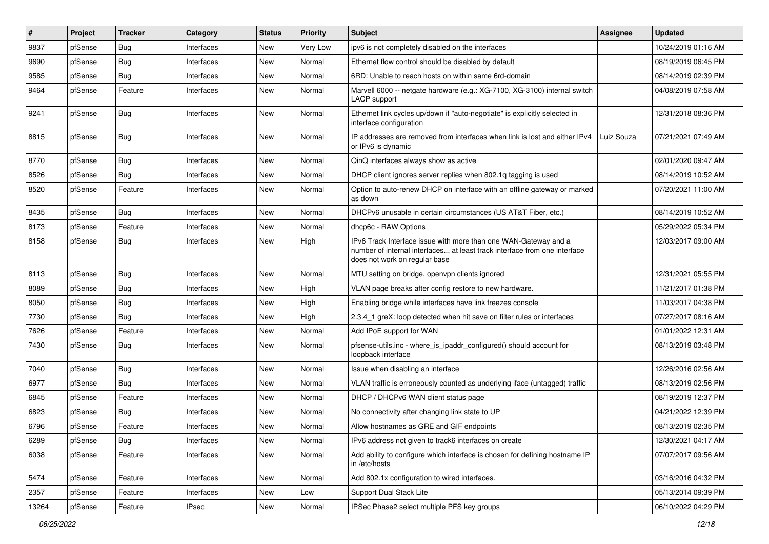| #     | Project | <b>Tracker</b> | Category     | <b>Status</b> | <b>Priority</b> | <b>Subject</b>                                                                                                                                                                | Assignee   | <b>Updated</b>      |
|-------|---------|----------------|--------------|---------------|-----------------|-------------------------------------------------------------------------------------------------------------------------------------------------------------------------------|------------|---------------------|
| 9837  | pfSense | Bug            | Interfaces   | New           | Very Low        | ipv6 is not completely disabled on the interfaces                                                                                                                             |            | 10/24/2019 01:16 AM |
| 9690  | pfSense | <b>Bug</b>     | Interfaces   | <b>New</b>    | Normal          | Ethernet flow control should be disabled by default                                                                                                                           |            | 08/19/2019 06:45 PM |
| 9585  | pfSense | Bug            | Interfaces   | New           | Normal          | 6RD: Unable to reach hosts on within same 6rd-domain                                                                                                                          |            | 08/14/2019 02:39 PM |
| 9464  | pfSense | Feature        | Interfaces   | New           | Normal          | Marvell 6000 -- netgate hardware (e.g.: XG-7100, XG-3100) internal switch<br><b>LACP</b> support                                                                              |            | 04/08/2019 07:58 AM |
| 9241  | pfSense | <b>Bug</b>     | Interfaces   | <b>New</b>    | Normal          | Ethernet link cycles up/down if "auto-negotiate" is explicitly selected in<br>interface configuration                                                                         |            | 12/31/2018 08:36 PM |
| 8815  | pfSense | <b>Bug</b>     | Interfaces   | New           | Normal          | IP addresses are removed from interfaces when link is lost and either IPv4<br>or IPv6 is dynamic                                                                              | Luiz Souza | 07/21/2021 07:49 AM |
| 8770  | pfSense | Bug            | Interfaces   | New           | Normal          | QinQ interfaces always show as active                                                                                                                                         |            | 02/01/2020 09:47 AM |
| 8526  | pfSense | Bug            | Interfaces   | New           | Normal          | DHCP client ignores server replies when 802.1q tagging is used                                                                                                                |            | 08/14/2019 10:52 AM |
| 8520  | pfSense | Feature        | Interfaces   | New           | Normal          | Option to auto-renew DHCP on interface with an offline gateway or marked<br>as down                                                                                           |            | 07/20/2021 11:00 AM |
| 8435  | pfSense | Bug            | Interfaces   | New           | Normal          | DHCPv6 unusable in certain circumstances (US AT&T Fiber, etc.)                                                                                                                |            | 08/14/2019 10:52 AM |
| 8173  | pfSense | Feature        | Interfaces   | New           | Normal          | dhcp6c - RAW Options                                                                                                                                                          |            | 05/29/2022 05:34 PM |
| 8158  | pfSense | <b>Bug</b>     | Interfaces   | New           | High            | IPv6 Track Interface issue with more than one WAN-Gateway and a<br>number of internal interfaces at least track interface from one interface<br>does not work on regular base |            | 12/03/2017 09:00 AM |
| 8113  | pfSense | <b>Bug</b>     | Interfaces   | <b>New</b>    | Normal          | MTU setting on bridge, openvpn clients ignored                                                                                                                                |            | 12/31/2021 05:55 PM |
| 8089  | pfSense | <b>Bug</b>     | Interfaces   | New           | High            | VLAN page breaks after config restore to new hardware.                                                                                                                        |            | 11/21/2017 01:38 PM |
| 8050  | pfSense | <b>Bug</b>     | Interfaces   | New           | High            | Enabling bridge while interfaces have link freezes console                                                                                                                    |            | 11/03/2017 04:38 PM |
| 7730  | pfSense | Bug            | Interfaces   | New           | High            | 2.3.4_1 greX: loop detected when hit save on filter rules or interfaces                                                                                                       |            | 07/27/2017 08:16 AM |
| 7626  | pfSense | Feature        | Interfaces   | New           | Normal          | Add IPoE support for WAN                                                                                                                                                      |            | 01/01/2022 12:31 AM |
| 7430  | pfSense | <b>Bug</b>     | Interfaces   | New           | Normal          | pfsense-utils.inc - where is ipaddr configured() should account for<br>loopback interface                                                                                     |            | 08/13/2019 03:48 PM |
| 7040  | pfSense | <b>Bug</b>     | Interfaces   | New           | Normal          | Issue when disabling an interface                                                                                                                                             |            | 12/26/2016 02:56 AM |
| 6977  | pfSense | Bug            | Interfaces   | New           | Normal          | VLAN traffic is erroneously counted as underlying iface (untagged) traffic                                                                                                    |            | 08/13/2019 02:56 PM |
| 6845  | pfSense | Feature        | Interfaces   | New           | Normal          | DHCP / DHCPv6 WAN client status page                                                                                                                                          |            | 08/19/2019 12:37 PM |
| 6823  | pfSense | Bug            | Interfaces   | <b>New</b>    | Normal          | No connectivity after changing link state to UP                                                                                                                               |            | 04/21/2022 12:39 PM |
| 6796  | pfSense | Feature        | Interfaces   | New           | Normal          | Allow hostnames as GRE and GIF endpoints                                                                                                                                      |            | 08/13/2019 02:35 PM |
| 6289  | pfSense | <b>Bug</b>     | Interfaces   | New           | Normal          | IPv6 address not given to track6 interfaces on create                                                                                                                         |            | 12/30/2021 04:17 AM |
| 6038  | pfSense | Feature        | Interfaces   | New           | Normal          | Add ability to configure which interface is chosen for defining hostname IP<br>in /etc/hosts                                                                                  |            | 07/07/2017 09:56 AM |
| 5474  | pfSense | Feature        | Interfaces   | New           | Normal          | Add 802.1x configuration to wired interfaces.                                                                                                                                 |            | 03/16/2016 04:32 PM |
| 2357  | pfSense | Feature        | Interfaces   | New           | Low             | Support Dual Stack Lite                                                                                                                                                       |            | 05/13/2014 09:39 PM |
| 13264 | pfSense | Feature        | <b>IPsec</b> | New           | Normal          | IPSec Phase2 select multiple PFS key groups                                                                                                                                   |            | 06/10/2022 04:29 PM |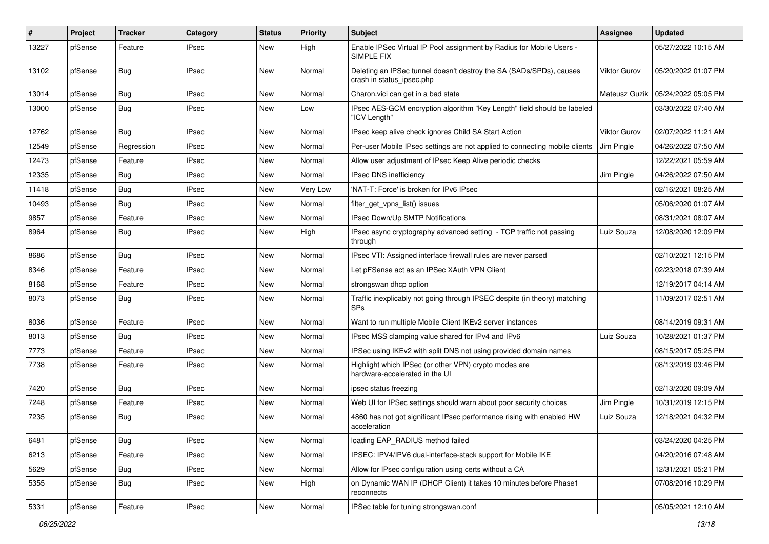| ∦     | Project | <b>Tracker</b> | Category     | <b>Status</b> | <b>Priority</b> | <b>Subject</b>                                                                                   | Assignee            | <b>Updated</b>      |
|-------|---------|----------------|--------------|---------------|-----------------|--------------------------------------------------------------------------------------------------|---------------------|---------------------|
| 13227 | pfSense | Feature        | <b>IPsec</b> | New           | High            | Enable IPSec Virtual IP Pool assignment by Radius for Mobile Users -<br>SIMPLE FIX               |                     | 05/27/2022 10:15 AM |
| 13102 | pfSense | Bug            | <b>IPsec</b> | New           | Normal          | Deleting an IPSec tunnel doesn't destroy the SA (SADs/SPDs), causes<br>crash in status_ipsec.php | Viktor Gurov        | 05/20/2022 01:07 PM |
| 13014 | pfSense | Bug            | <b>IPsec</b> | <b>New</b>    | Normal          | Charon.vici can get in a bad state                                                               | Mateusz Guzik       | 05/24/2022 05:05 PM |
| 13000 | pfSense | <b>Bug</b>     | IPsec        | New           | Low             | IPsec AES-GCM encryption algorithm "Key Length" field should be labeled<br>"ICV Length"          |                     | 03/30/2022 07:40 AM |
| 12762 | pfSense | Bug            | <b>IPsec</b> | New           | Normal          | IPsec keep alive check ignores Child SA Start Action                                             | <b>Viktor Gurov</b> | 02/07/2022 11:21 AM |
| 12549 | pfSense | Regression     | <b>IPsec</b> | New           | Normal          | Per-user Mobile IPsec settings are not applied to connecting mobile clients                      | Jim Pingle          | 04/26/2022 07:50 AM |
| 12473 | pfSense | Feature        | <b>IPsec</b> | New           | Normal          | Allow user adjustment of IPsec Keep Alive periodic checks                                        |                     | 12/22/2021 05:59 AM |
| 12335 | pfSense | <b>Bug</b>     | <b>IPsec</b> | New           | Normal          | IPsec DNS inefficiency                                                                           | Jim Pingle          | 04/26/2022 07:50 AM |
| 11418 | pfSense | <b>Bug</b>     | <b>IPsec</b> | New           | Very Low        | 'NAT-T: Force' is broken for IPv6 IPsec                                                          |                     | 02/16/2021 08:25 AM |
| 10493 | pfSense | Bug            | <b>IPsec</b> | New           | Normal          | filter_get_vpns_list() issues                                                                    |                     | 05/06/2020 01:07 AM |
| 9857  | pfSense | Feature        | IPsec        | New           | Normal          | IPsec Down/Up SMTP Notifications                                                                 |                     | 08/31/2021 08:07 AM |
| 8964  | pfSense | Bug            | <b>IPsec</b> | New           | High            | IPsec async cryptography advanced setting - TCP traffic not passing<br>through                   | Luiz Souza          | 12/08/2020 12:09 PM |
| 8686  | pfSense | Bug            | <b>IPsec</b> | New           | Normal          | IPsec VTI: Assigned interface firewall rules are never parsed                                    |                     | 02/10/2021 12:15 PM |
| 8346  | pfSense | Feature        | <b>IPsec</b> | New           | Normal          | Let pFSense act as an IPSec XAuth VPN Client                                                     |                     | 02/23/2018 07:39 AM |
| 8168  | pfSense | Feature        | <b>IPsec</b> | New           | Normal          | strongswan dhcp option                                                                           |                     | 12/19/2017 04:14 AM |
| 8073  | pfSense | <b>Bug</b>     | <b>IPsec</b> | New           | Normal          | Traffic inexplicably not going through IPSEC despite (in theory) matching<br><b>SPs</b>          |                     | 11/09/2017 02:51 AM |
| 8036  | pfSense | Feature        | <b>IPsec</b> | New           | Normal          | Want to run multiple Mobile Client IKEv2 server instances                                        |                     | 08/14/2019 09:31 AM |
| 8013  | pfSense | Bug            | <b>IPsec</b> | New           | Normal          | IPsec MSS clamping value shared for IPv4 and IPv6                                                | Luiz Souza          | 10/28/2021 01:37 PM |
| 7773  | pfSense | Feature        | <b>IPsec</b> | New           | Normal          | IPSec using IKEv2 with split DNS not using provided domain names                                 |                     | 08/15/2017 05:25 PM |
| 7738  | pfSense | Feature        | <b>IPsec</b> | New           | Normal          | Highlight which IPSec (or other VPN) crypto modes are<br>hardware-accelerated in the UI          |                     | 08/13/2019 03:46 PM |
| 7420  | pfSense | Bug            | <b>IPsec</b> | New           | Normal          | ipsec status freezing                                                                            |                     | 02/13/2020 09:09 AM |
| 7248  | pfSense | Feature        | IPsec        | New           | Normal          | Web UI for IPSec settings should warn about poor security choices                                | Jim Pingle          | 10/31/2019 12:15 PM |
| 7235  | pfSense | Bug            | <b>IPsec</b> | New           | Normal          | 4860 has not got significant IPsec performance rising with enabled HW<br>acceleration            | Luiz Souza          | 12/18/2021 04:32 PM |
| 6481  | pfSense | <b>Bug</b>     | <b>IPsec</b> | New           | Normal          | loading EAP_RADIUS method failed                                                                 |                     | 03/24/2020 04:25 PM |
| 6213  | pfSense | Feature        | <b>IPsec</b> | New           | Normal          | IPSEC: IPV4/IPV6 dual-interface-stack support for Mobile IKE                                     |                     | 04/20/2016 07:48 AM |
| 5629  | pfSense | <b>Bug</b>     | <b>IPsec</b> | New           | Normal          | Allow for IPsec configuration using certs without a CA                                           |                     | 12/31/2021 05:21 PM |
| 5355  | pfSense | <b>Bug</b>     | <b>IPsec</b> | New           | High            | on Dynamic WAN IP (DHCP Client) it takes 10 minutes before Phase1<br>reconnects                  |                     | 07/08/2016 10:29 PM |
| 5331  | pfSense | Feature        | <b>IPsec</b> | New           | Normal          | IPSec table for tuning strongswan.conf                                                           |                     | 05/05/2021 12:10 AM |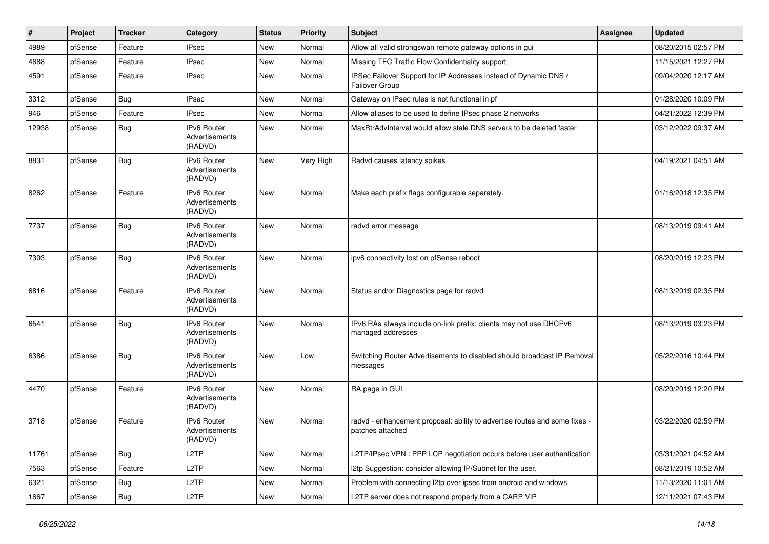| $\vert$ # | Project | <b>Tracker</b> | Category                                               | <b>Status</b> | <b>Priority</b> | <b>Subject</b>                                                                                 | Assignee | <b>Updated</b>      |
|-----------|---------|----------------|--------------------------------------------------------|---------------|-----------------|------------------------------------------------------------------------------------------------|----------|---------------------|
| 4989      | pfSense | Feature        | <b>IPsec</b>                                           | New           | Normal          | Allow all valid strongswan remote gateway options in gui                                       |          | 08/20/2015 02:57 PM |
| 4688      | pfSense | Feature        | <b>IPsec</b>                                           | New           | Normal          | Missing TFC Traffic Flow Confidentiality support                                               |          | 11/15/2021 12:27 PM |
| 4591      | pfSense | Feature        | <b>IPsec</b>                                           | New           | Normal          | IPSec Failover Support for IP Addresses instead of Dynamic DNS /<br>Failover Group             |          | 09/04/2020 12:17 AM |
| 3312      | pfSense | <b>Bug</b>     | <b>IPsec</b>                                           | <b>New</b>    | Normal          | Gateway on IPsec rules is not functional in pf                                                 |          | 01/28/2020 10:09 PM |
| 946       | pfSense | Feature        | <b>IPsec</b>                                           | New           | Normal          | Allow aliases to be used to define IPsec phase 2 networks                                      |          | 04/21/2022 12:39 PM |
| 12938     | pfSense | <b>Bug</b>     | IPv6 Router<br>Advertisements<br>(RADVD)               | New           | Normal          | MaxRtrAdvInterval would allow stale DNS servers to be deleted faster                           |          | 03/12/2022 09:37 AM |
| 8831      | pfSense | <b>Bug</b>     | IPv6 Router<br>Advertisements<br>(RADVD)               | <b>New</b>    | Very High       | Radvd causes latency spikes                                                                    |          | 04/19/2021 04:51 AM |
| 8262      | pfSense | Feature        | <b>IPv6 Router</b><br>Advertisements<br>(RADVD)        | New           | Normal          | Make each prefix flags configurable separately.                                                |          | 01/16/2018 12:35 PM |
| 7737      | pfSense | <b>Bug</b>     | <b>IPv6 Router</b><br>Advertisements<br>(RADVD)        | New           | Normal          | radvd error message                                                                            |          | 08/13/2019 09:41 AM |
| 7303      | pfSense | <b>Bug</b>     | IPv6 Router<br>Advertisements<br>(RADVD)               | New           | Normal          | ipv6 connectivity lost on pfSense reboot                                                       |          | 08/20/2019 12:23 PM |
| 6816      | pfSense | Feature        | <b>IPv6 Router</b><br>Advertisements<br>(RADVD)        | New           | Normal          | Status and/or Diagnostics page for radvd                                                       |          | 08/13/2019 02:35 PM |
| 6541      | pfSense | <b>Bug</b>     | <b>IPv6 Router</b><br><b>Advertisements</b><br>(RADVD) | New           | Normal          | IPv6 RAs always include on-link prefix; clients may not use DHCPv6<br>managed addresses        |          | 08/13/2019 03:23 PM |
| 6386      | pfSense | <b>Bug</b>     | <b>IPv6 Router</b><br><b>Advertisements</b><br>(RADVD) | New           | Low             | Switching Router Advertisements to disabled should broadcast IP Removal<br>messages            |          | 05/22/2016 10:44 PM |
| 4470      | pfSense | Feature        | IPv6 Router<br>Advertisements<br>(RADVD)               | New           | Normal          | RA page in GUI                                                                                 |          | 08/20/2019 12:20 PM |
| 3718      | pfSense | Feature        | <b>IPv6 Router</b><br>Advertisements<br>(RADVD)        | <b>New</b>    | Normal          | radvd - enhancement proposal: ability to advertise routes and some fixes -<br>patches attached |          | 03/22/2020 02:59 PM |
| 11761     | pfSense | <b>Bug</b>     | L <sub>2</sub> TP                                      | <b>New</b>    | Normal          | L2TP/IPsec VPN : PPP LCP negotiation occurs before user authentication                         |          | 03/31/2021 04:52 AM |
| 7563      | pfSense | Feature        | L <sub>2</sub> TP                                      | New           | Normal          | I2tp Suggestion: consider allowing IP/Subnet for the user.                                     |          | 08/21/2019 10:52 AM |
| 6321      | pfSense | <b>Bug</b>     | L <sub>2</sub> TP                                      | New           | Normal          | Problem with connecting I2tp over ipsec from android and windows                               |          | 11/13/2020 11:01 AM |
| 1667      | pfSense | Bug            | L2TP                                                   | New           | Normal          | L2TP server does not respond properly from a CARP VIP                                          |          | 12/11/2021 07:43 PM |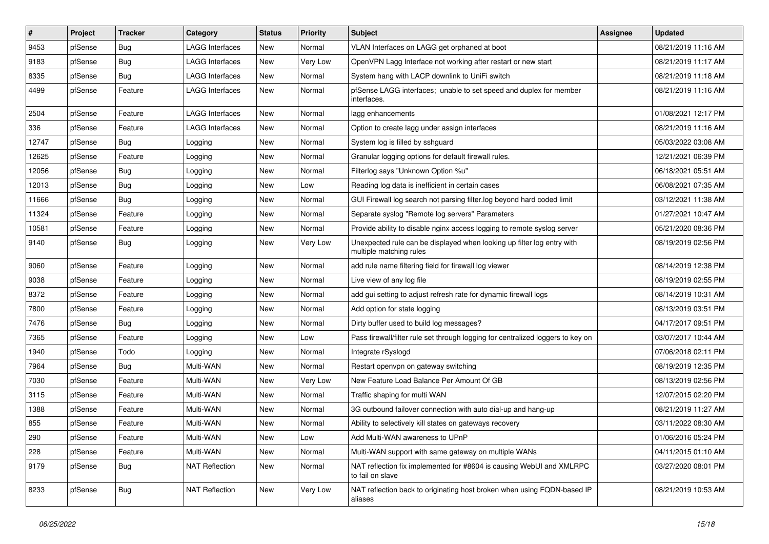| $\vert$ # | Project | <b>Tracker</b> | Category               | <b>Status</b> | <b>Priority</b> | <b>Subject</b>                                                                                    | Assignee | <b>Updated</b>      |
|-----------|---------|----------------|------------------------|---------------|-----------------|---------------------------------------------------------------------------------------------------|----------|---------------------|
| 9453      | pfSense | Bug            | LAGG Interfaces        | New           | Normal          | VLAN Interfaces on LAGG get orphaned at boot                                                      |          | 08/21/2019 11:16 AM |
| 9183      | pfSense | Bug            | LAGG Interfaces        | New           | Very Low        | OpenVPN Lagg Interface not working after restart or new start                                     |          | 08/21/2019 11:17 AM |
| 8335      | pfSense | Bug            | <b>LAGG Interfaces</b> | New           | Normal          | System hang with LACP downlink to UniFi switch                                                    |          | 08/21/2019 11:18 AM |
| 4499      | pfSense | Feature        | LAGG Interfaces        | New           | Normal          | pfSense LAGG interfaces; unable to set speed and duplex for member<br>interfaces.                 |          | 08/21/2019 11:16 AM |
| 2504      | pfSense | Feature        | LAGG Interfaces        | New           | Normal          | lagg enhancements                                                                                 |          | 01/08/2021 12:17 PM |
| 336       | pfSense | Feature        | LAGG Interfaces        | New           | Normal          | Option to create lagg under assign interfaces                                                     |          | 08/21/2019 11:16 AM |
| 12747     | pfSense | Bug            | Logging                | New           | Normal          | System log is filled by sshquard                                                                  |          | 05/03/2022 03:08 AM |
| 12625     | pfSense | Feature        | Logging                | New           | Normal          | Granular logging options for default firewall rules.                                              |          | 12/21/2021 06:39 PM |
| 12056     | pfSense | Bug            | Logging                | New           | Normal          | Filterlog says "Unknown Option %u"                                                                |          | 06/18/2021 05:51 AM |
| 12013     | pfSense | <b>Bug</b>     | Logging                | New           | Low             | Reading log data is inefficient in certain cases                                                  |          | 06/08/2021 07:35 AM |
| 11666     | pfSense | <b>Bug</b>     | Logging                | New           | Normal          | GUI Firewall log search not parsing filter.log beyond hard coded limit                            |          | 03/12/2021 11:38 AM |
| 11324     | pfSense | Feature        | Logging                | New           | Normal          | Separate syslog "Remote log servers" Parameters                                                   |          | 01/27/2021 10:47 AM |
| 10581     | pfSense | Feature        | Logging                | New           | Normal          | Provide ability to disable nginx access logging to remote syslog server                           |          | 05/21/2020 08:36 PM |
| 9140      | pfSense | <b>Bug</b>     | Logging                | New           | Very Low        | Unexpected rule can be displayed when looking up filter log entry with<br>multiple matching rules |          | 08/19/2019 02:56 PM |
| 9060      | pfSense | Feature        | Logging                | New           | Normal          | add rule name filtering field for firewall log viewer                                             |          | 08/14/2019 12:38 PM |
| 9038      | pfSense | Feature        | Logging                | New           | Normal          | Live view of any log file                                                                         |          | 08/19/2019 02:55 PM |
| 8372      | pfSense | Feature        | Logging                | New           | Normal          | add gui setting to adjust refresh rate for dynamic firewall logs                                  |          | 08/14/2019 10:31 AM |
| 7800      | pfSense | Feature        | Logging                | New           | Normal          | Add option for state logging                                                                      |          | 08/13/2019 03:51 PM |
| 7476      | pfSense | Bug            | Logging                | New           | Normal          | Dirty buffer used to build log messages?                                                          |          | 04/17/2017 09:51 PM |
| 7365      | pfSense | Feature        | Logging                | New           | Low             | Pass firewall/filter rule set through logging for centralized loggers to key on                   |          | 03/07/2017 10:44 AM |
| 1940      | pfSense | Todo           | Logging                | New           | Normal          | Integrate rSyslogd                                                                                |          | 07/06/2018 02:11 PM |
| 7964      | pfSense | <b>Bug</b>     | Multi-WAN              | New           | Normal          | Restart openvpn on gateway switching                                                              |          | 08/19/2019 12:35 PM |
| 7030      | pfSense | Feature        | Multi-WAN              | New           | Very Low        | New Feature Load Balance Per Amount Of GB                                                         |          | 08/13/2019 02:56 PM |
| 3115      | pfSense | Feature        | Multi-WAN              | <b>New</b>    | Normal          | Traffic shaping for multi WAN                                                                     |          | 12/07/2015 02:20 PM |
| 1388      | pfSense | Feature        | Multi-WAN              | New           | Normal          | 3G outbound failover connection with auto dial-up and hang-up                                     |          | 08/21/2019 11:27 AM |
| 855       | pfSense | Feature        | Multi-WAN              | New           | Normal          | Ability to selectively kill states on gateways recovery                                           |          | 03/11/2022 08:30 AM |
| 290       | pfSense | Feature        | Multi-WAN              | New           | Low             | Add Multi-WAN awareness to UPnP                                                                   |          | 01/06/2016 05:24 PM |
| 228       | pfSense | Feature        | Multi-WAN              | New           | Normal          | Multi-WAN support with same gateway on multiple WANs                                              |          | 04/11/2015 01:10 AM |
| 9179      | pfSense | <b>Bug</b>     | <b>NAT Reflection</b>  | New           | Normal          | NAT reflection fix implemented for #8604 is causing WebUI and XMLRPC<br>to fail on slave          |          | 03/27/2020 08:01 PM |
| 8233      | pfSense | <b>Bug</b>     | <b>NAT Reflection</b>  | New           | Very Low        | NAT reflection back to originating host broken when using FQDN-based IP<br>aliases                |          | 08/21/2019 10:53 AM |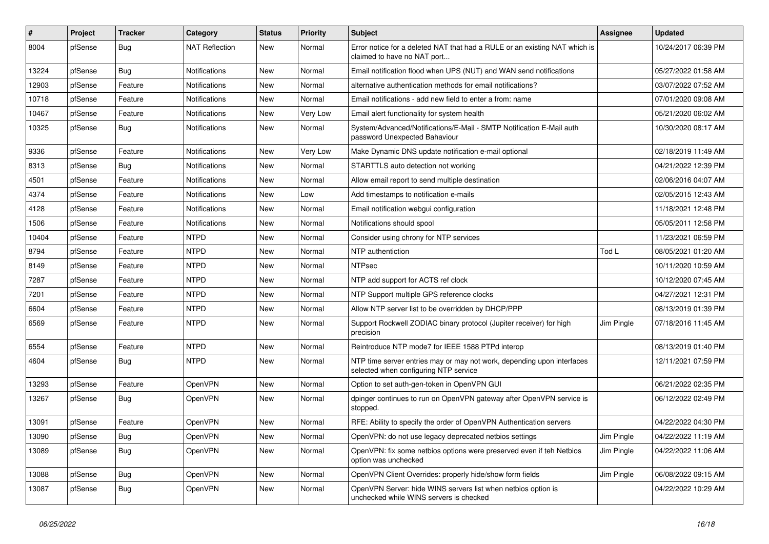| $\#$  | Project | <b>Tracker</b> | Category              | <b>Status</b> | <b>Priority</b> | <b>Subject</b>                                                                                                  | <b>Assignee</b> | <b>Updated</b>      |
|-------|---------|----------------|-----------------------|---------------|-----------------|-----------------------------------------------------------------------------------------------------------------|-----------------|---------------------|
| 8004  | pfSense | <b>Bug</b>     | <b>NAT Reflection</b> | New           | Normal          | Error notice for a deleted NAT that had a RULE or an existing NAT which is<br>claimed to have no NAT port       |                 | 10/24/2017 06:39 PM |
| 13224 | pfSense | Bug            | <b>Notifications</b>  | <b>New</b>    | Normal          | Email notification flood when UPS (NUT) and WAN send notifications                                              |                 | 05/27/2022 01:58 AM |
| 12903 | pfSense | Feature        | Notifications         | <b>New</b>    | Normal          | alternative authentication methods for email notifications?                                                     |                 | 03/07/2022 07:52 AM |
| 10718 | pfSense | Feature        | Notifications         | <b>New</b>    | Normal          | Email notifications - add new field to enter a from: name                                                       |                 | 07/01/2020 09:08 AM |
| 10467 | pfSense | Feature        | Notifications         | <b>New</b>    | Very Low        | Email alert functionality for system health                                                                     |                 | 05/21/2020 06:02 AM |
| 10325 | pfSense | <b>Bug</b>     | <b>Notifications</b>  | New           | Normal          | System/Advanced/Notifications/E-Mail - SMTP Notification E-Mail auth<br>password Unexpected Bahaviour           |                 | 10/30/2020 08:17 AM |
| 9336  | pfSense | Feature        | <b>Notifications</b>  | <b>New</b>    | Very Low        | Make Dynamic DNS update notification e-mail optional                                                            |                 | 02/18/2019 11:49 AM |
| 8313  | pfSense | <b>Bug</b>     | Notifications         | <b>New</b>    | Normal          | STARTTLS auto detection not working                                                                             |                 | 04/21/2022 12:39 PM |
| 4501  | pfSense | Feature        | Notifications         | New           | Normal          | Allow email report to send multiple destination                                                                 |                 | 02/06/2016 04:07 AM |
| 4374  | pfSense | Feature        | <b>Notifications</b>  | New           | Low             | Add timestamps to notification e-mails                                                                          |                 | 02/05/2015 12:43 AM |
| 4128  | pfSense | Feature        | Notifications         | <b>New</b>    | Normal          | Email notification webgui configuration                                                                         |                 | 11/18/2021 12:48 PM |
| 1506  | pfSense | Feature        | Notifications         | New           | Normal          | Notifications should spool                                                                                      |                 | 05/05/2011 12:58 PM |
| 10404 | pfSense | Feature        | <b>NTPD</b>           | <b>New</b>    | Normal          | Consider using chrony for NTP services                                                                          |                 | 11/23/2021 06:59 PM |
| 8794  | pfSense | Feature        | <b>NTPD</b>           | New           | Normal          | NTP authentiction                                                                                               | Tod L           | 08/05/2021 01:20 AM |
| 8149  | pfSense | Feature        | <b>NTPD</b>           | <b>New</b>    | Normal          | <b>NTPsec</b>                                                                                                   |                 | 10/11/2020 10:59 AM |
| 7287  | pfSense | Feature        | <b>NTPD</b>           | <b>New</b>    | Normal          | NTP add support for ACTS ref clock                                                                              |                 | 10/12/2020 07:45 AM |
| 7201  | pfSense | Feature        | <b>NTPD</b>           | <b>New</b>    | Normal          | NTP Support multiple GPS reference clocks                                                                       |                 | 04/27/2021 12:31 PM |
| 6604  | pfSense | Feature        | <b>NTPD</b>           | New           | Normal          | Allow NTP server list to be overridden by DHCP/PPP                                                              |                 | 08/13/2019 01:39 PM |
| 6569  | pfSense | Feature        | <b>NTPD</b>           | New           | Normal          | Support Rockwell ZODIAC binary protocol (Jupiter receiver) for high<br>precision                                | Jim Pingle      | 07/18/2016 11:45 AM |
| 6554  | pfSense | Feature        | <b>NTPD</b>           | <b>New</b>    | Normal          | Reintroduce NTP mode7 for IEEE 1588 PTPd interop                                                                |                 | 08/13/2019 01:40 PM |
| 4604  | pfSense | <b>Bug</b>     | <b>NTPD</b>           | New           | Normal          | NTP time server entries may or may not work, depending upon interfaces<br>selected when configuring NTP service |                 | 12/11/2021 07:59 PM |
| 13293 | pfSense | Feature        | OpenVPN               | <b>New</b>    | Normal          | Option to set auth-gen-token in OpenVPN GUI                                                                     |                 | 06/21/2022 02:35 PM |
| 13267 | pfSense | <b>Bug</b>     | <b>OpenVPN</b>        | New           | Normal          | dpinger continues to run on OpenVPN gateway after OpenVPN service is<br>stopped.                                |                 | 06/12/2022 02:49 PM |
| 13091 | pfSense | Feature        | OpenVPN               | <b>New</b>    | Normal          | RFE: Ability to specify the order of OpenVPN Authentication servers                                             |                 | 04/22/2022 04:30 PM |
| 13090 | pfSense | Bug            | OpenVPN               | <b>New</b>    | Normal          | OpenVPN: do not use legacy deprecated netbios settings                                                          | Jim Pingle      | 04/22/2022 11:19 AM |
| 13089 | pfSense | Bug            | OpenVPN               | New           | Normal          | OpenVPN: fix some netbios options were preserved even if teh Netbios<br>option was unchecked                    | Jim Pingle      | 04/22/2022 11:06 AM |
| 13088 | pfSense | <b>Bug</b>     | OpenVPN               | New           | Normal          | OpenVPN Client Overrides: properly hide/show form fields                                                        | Jim Pingle      | 06/08/2022 09:15 AM |
| 13087 | pfSense | <b>Bug</b>     | OpenVPN               | New           | Normal          | OpenVPN Server: hide WINS servers list when netbios option is<br>unchecked while WINS servers is checked        |                 | 04/22/2022 10:29 AM |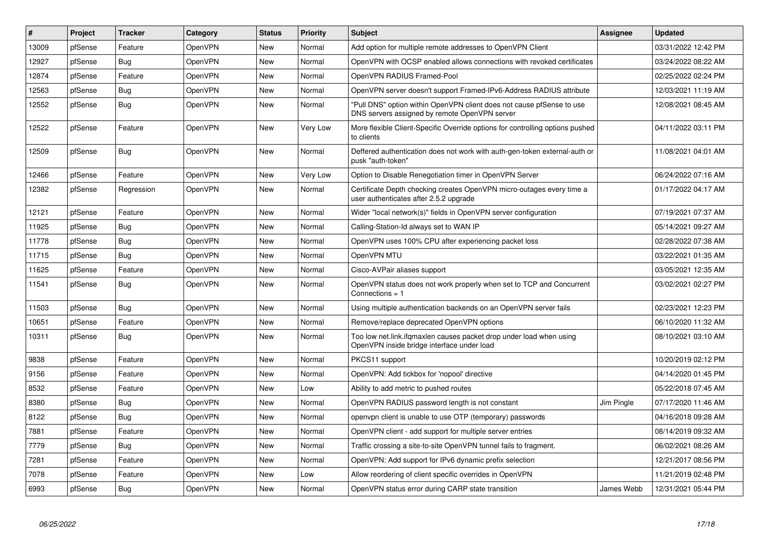| #     | Project | <b>Tracker</b> | Category       | <b>Status</b> | <b>Priority</b> | <b>Subject</b>                                                                                                         | Assignee   | <b>Updated</b>      |
|-------|---------|----------------|----------------|---------------|-----------------|------------------------------------------------------------------------------------------------------------------------|------------|---------------------|
| 13009 | pfSense | Feature        | <b>OpenVPN</b> | <b>New</b>    | Normal          | Add option for multiple remote addresses to OpenVPN Client                                                             |            | 03/31/2022 12:42 PM |
| 12927 | pfSense | Bug            | OpenVPN        | New           | Normal          | OpenVPN with OCSP enabled allows connections with revoked certificates                                                 |            | 03/24/2022 08:22 AM |
| 12874 | pfSense | Feature        | OpenVPN        | New           | Normal          | OpenVPN RADIUS Framed-Pool                                                                                             |            | 02/25/2022 02:24 PM |
| 12563 | pfSense | Bug            | OpenVPN        | New           | Normal          | OpenVPN server doesn't support Framed-IPv6-Address RADIUS attribute                                                    |            | 12/03/2021 11:19 AM |
| 12552 | pfSense | <b>Bug</b>     | OpenVPN        | New           | Normal          | "Pull DNS" option within OpenVPN client does not cause pfSense to use<br>DNS servers assigned by remote OpenVPN server |            | 12/08/2021 08:45 AM |
| 12522 | pfSense | Feature        | OpenVPN        | New           | Very Low        | More flexible Client-Specific Override options for controlling options pushed<br>to clients                            |            | 04/11/2022 03:11 PM |
| 12509 | pfSense | <b>Bug</b>     | OpenVPN        | New           | Normal          | Deffered authentication does not work with auth-gen-token external-auth or<br>pusk "auth-token"                        |            | 11/08/2021 04:01 AM |
| 12466 | pfSense | Feature        | OpenVPN        | <b>New</b>    | Very Low        | Option to Disable Renegotiation timer in OpenVPN Server                                                                |            | 06/24/2022 07:16 AM |
| 12382 | pfSense | Regression     | OpenVPN        | New           | Normal          | Certificate Depth checking creates OpenVPN micro-outages every time a<br>user authenticates after 2.5.2 upgrade        |            | 01/17/2022 04:17 AM |
| 12121 | pfSense | Feature        | OpenVPN        | New           | Normal          | Wider "local network(s)" fields in OpenVPN server configuration                                                        |            | 07/19/2021 07:37 AM |
| 11925 | pfSense | <b>Bug</b>     | OpenVPN        | New           | Normal          | Calling-Station-Id always set to WAN IP                                                                                |            | 05/14/2021 09:27 AM |
| 11778 | pfSense | Bug            | OpenVPN        | New           | Normal          | OpenVPN uses 100% CPU after experiencing packet loss                                                                   |            | 02/28/2022 07:38 AM |
| 11715 | pfSense | <b>Bug</b>     | OpenVPN        | New           | Normal          | OpenVPN MTU                                                                                                            |            | 03/22/2021 01:35 AM |
| 11625 | pfSense | Feature        | OpenVPN        | New           | Normal          | Cisco-AVPair aliases support                                                                                           |            | 03/05/2021 12:35 AM |
| 11541 | pfSense | <b>Bug</b>     | OpenVPN        | New           | Normal          | OpenVPN status does not work properly when set to TCP and Concurrent<br>Connections = $1$                              |            | 03/02/2021 02:27 PM |
| 11503 | pfSense | <b>Bug</b>     | OpenVPN        | New           | Normal          | Using multiple authentication backends on an OpenVPN server fails                                                      |            | 02/23/2021 12:23 PM |
| 10651 | pfSense | Feature        | OpenVPN        | New           | Normal          | Remove/replace deprecated OpenVPN options                                                                              |            | 06/10/2020 11:32 AM |
| 10311 | pfSense | <b>Bug</b>     | OpenVPN        | New           | Normal          | Too low net.link.ifqmaxlen causes packet drop under load when using<br>OpenVPN inside bridge interface under load      |            | 08/10/2021 03:10 AM |
| 9838  | pfSense | Feature        | OpenVPN        | New           | Normal          | PKCS11 support                                                                                                         |            | 10/20/2019 02:12 PM |
| 9156  | pfSense | Feature        | OpenVPN        | New           | Normal          | OpenVPN: Add tickbox for 'nopool' directive                                                                            |            | 04/14/2020 01:45 PM |
| 8532  | pfSense | Feature        | OpenVPN        | New           | Low             | Ability to add metric to pushed routes                                                                                 |            | 05/22/2018 07:45 AM |
| 8380  | pfSense | <b>Bug</b>     | OpenVPN        | New           | Normal          | OpenVPN RADIUS password length is not constant                                                                         | Jim Pingle | 07/17/2020 11:46 AM |
| 8122  | pfSense | <b>Bug</b>     | OpenVPN        | New           | Normal          | openypn client is unable to use OTP (temporary) passwords                                                              |            | 04/16/2018 09:28 AM |
| 7881  | pfSense | Feature        | OpenVPN        | <b>New</b>    | Normal          | OpenVPN client - add support for multiple server entries                                                               |            | 08/14/2019 09:32 AM |
| 7779  | pfSense | <b>Bug</b>     | <b>OpenVPN</b> | New           | Normal          | Traffic crossing a site-to-site OpenVPN tunnel fails to fragment.                                                      |            | 06/02/2021 08:26 AM |
| 7281  | pfSense | Feature        | OpenVPN        | <b>New</b>    | Normal          | OpenVPN: Add support for IPv6 dynamic prefix selection                                                                 |            | 12/21/2017 08:56 PM |
| 7078  | pfSense | Feature        | OpenVPN        | New           | Low             | Allow reordering of client specific overrides in OpenVPN                                                               |            | 11/21/2019 02:48 PM |
| 6993  | pfSense | Bug            | OpenVPN        | <b>New</b>    | Normal          | OpenVPN status error during CARP state transition                                                                      | James Webb | 12/31/2021 05:44 PM |